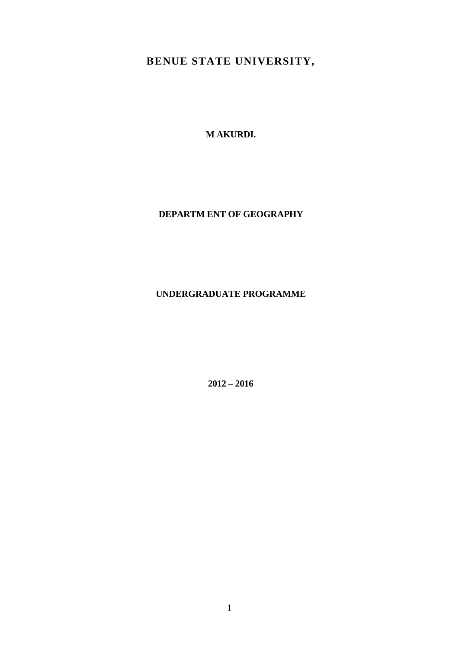# **BENUE STATE UNIVERSITY,**

**M AKURDI.**

## **DEPARTM ENT OF GEOGRAPHY**

# **UNDERGRADUATE PROGRAMME**

**2012 – 2016**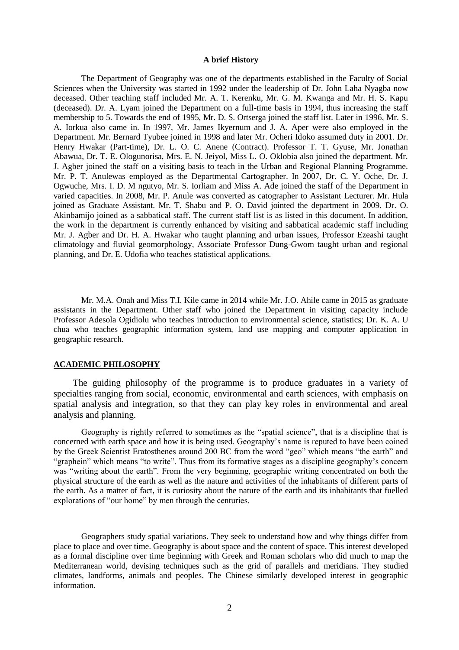#### **A brief History**

The Department of Geography was one of the departments established in the Faculty of Social Sciences when the University was started in 1992 under the leadership of Dr. John Laha Nyagba now deceased. Other teaching staff included Mr. A. T. Kerenku, Mr. G. M. Kwanga and Mr. H. S. Kapu (deceased). Dr. A. Lyam joined the Department on a full-time basis in 1994, thus increasing the staff membership to 5. Towards the end of 1995, Mr. D. S. Ortserga joined the staff list. Later in 1996, Mr. S. A. Iorkua also came in. In 1997, Mr. James Ikyernum and J. A. Aper were also employed in the Department. Mr. Bernard Tyubee joined in 1998 and later Mr. Ocheri Idoko assumed duty in 2001. Dr. Henry Hwakar (Part-time), Dr. L. O. C. Anene (Contract). Professor T. T. Gyuse, Mr. Jonathan Abawua, Dr. T. E. Ologunorisa, Mrs. E. N. Jeiyol, Miss L. O. Oklobia also joined the department. Mr. J. Agber joined the staff on a visiting basis to teach in the Urban and Regional Planning Programme. Mr. P. T. Anulewas employed as the Departmental Cartographer. In 2007, Dr. C. Y. Oche, Dr. J. Ogwuche, Mrs. I. D. M ngutyo, Mr. S. Iorliam and Miss A. Ade joined the staff of the Department in varied capacities. In 2008, Mr. P. Anule was converted as catographer to Assistant Lecturer. Mr. Hula joined as Graduate Assistant. Mr. T. Shabu and P. O. David jointed the department in 2009. Dr. O. Akinbamijo joined as a sabbatical staff. The current staff list is as listed in this document. In addition, the work in the department is currently enhanced by visiting and sabbatical academic staff including Mr. J. Agber and Dr. H. A. Hwakar who taught planning and urban issues, Professor Ezeashi taught climatology and fluvial geomorphology, Associate Professor Dung-Gwom taught urban and regional planning, and Dr. E. Udofia who teaches statistical applications.

Mr. M.A. Onah and Miss T.I. Kile came in 2014 while Mr. J.O. Ahile came in 2015 as graduate assistants in the Department. Other staff who joined the Department in visiting capacity include Professor Adesola Ogidiolu who teaches introduction to environmental science, statistics; Dr. K. A. U chua who teaches geographic information system, land use mapping and computer application in geographic research.

#### **ACADEMIC PHILOSOPHY**

The guiding philosophy of the programme is to produce graduates in a variety of specialties ranging from social, economic, environmental and earth sciences, with emphasis on spatial analysis and integration, so that they can play key roles in environmental and areal analysis and planning.

Geography is rightly referred to sometimes as the "spatial science", that is a discipline that is concerned with earth space and how it is being used. Geography's name is reputed to have been coined by the Greek Scientist Eratosthenes around 200 BC from the word "geo" which means "the earth" and "graphein" which means "to write". Thus from its formative stages as a discipline geography's concern was "writing about the earth". From the very beginning, geographic writing concentrated on both the physical structure of the earth as well as the nature and activities of the inhabitants of different parts of the earth. As a matter of fact, it is curiosity about the nature of the earth and its inhabitants that fuelled explorations of "our home" by men through the centuries.

Geographers study spatial variations. They seek to understand how and why things differ from place to place and over time. Geography is about space and the content of space. This interest developed as a formal discipline over time beginning with Greek and Roman scholars who did much to map the Mediterranean world, devising techniques such as the grid of parallels and meridians. They studied climates, landforms, animals and peoples. The Chinese similarly developed interest in geographic information.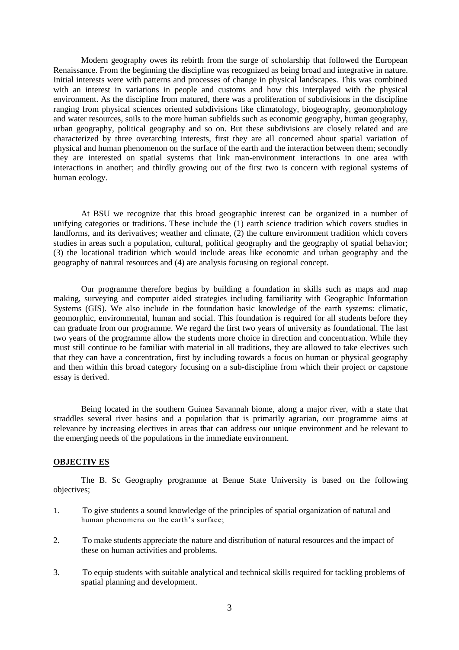Modern geography owes its rebirth from the surge of scholarship that followed the European Renaissance. From the beginning the discipline was recognized as being broad and integrative in nature. Initial interests were with patterns and processes of change in physical landscapes. This was combined with an interest in variations in people and customs and how this interplayed with the physical environment. As the discipline from matured, there was a proliferation of subdivisions in the discipline ranging from physical sciences oriented subdivisions like climatology, biogeography, geomorphology and water resources, soils to the more human subfields such as economic geography, human geography, urban geography, political geography and so on. But these subdivisions are closely related and are characterized by three overarching interests, first they are all concerned about spatial variation of physical and human phenomenon on the surface of the earth and the interaction between them; secondly they are interested on spatial systems that link man-environment interactions in one area with interactions in another; and thirdly growing out of the first two is concern with regional systems of human ecology.

At BSU we recognize that this broad geographic interest can be organized in a number of unifying categories or traditions. These include the (1) earth science tradition which covers studies in landforms, and its derivatives; weather and climate, (2) the culture environment tradition which covers studies in areas such a population, cultural, political geography and the geography of spatial behavior; (3) the locational tradition which would include areas like economic and urban geography and the geography of natural resources and (4) are analysis focusing on regional concept.

Our programme therefore begins by building a foundation in skills such as maps and map making, surveying and computer aided strategies including familiarity with Geographic Information Systems (GIS). We also include in the foundation basic knowledge of the earth systems: climatic, geomorphic, environmental, human and social. This foundation is required for all students before they can graduate from our programme. We regard the first two years of university as foundational. The last two years of the programme allow the students more choice in direction and concentration. While they must still continue to be familiar with material in all traditions, they are allowed to take electives such that they can have a concentration, first by including towards a focus on human or physical geography and then within this broad category focusing on a sub-discipline from which their project or capstone essay is derived.

Being located in the southern Guinea Savannah biome, along a major river, with a state that straddles several river basins and a population that is primarily agrarian, our programme aims at relevance by increasing electives in areas that can address our unique environment and be relevant to the emerging needs of the populations in the immediate environment.

### **OBJECTIV ES**

The B. Sc Geography programme at Benue State University is based on the following objectives;

- 1. To give students a sound knowledge of the principles of spatial organization of natural and human phenomena on the earth's surface;
- 2. To make students appreciate the nature and distribution of natural resources and the impact of these on human activities and problems.
- 3. To equip students with suitable analytical and technical skills required for tackling problems of spatial planning and development.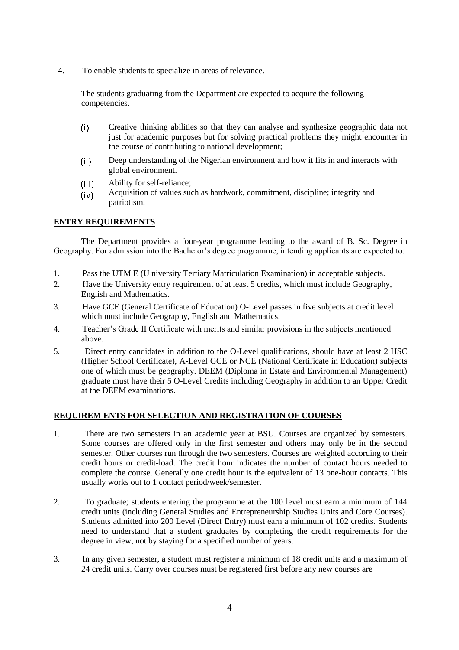4. To enable students to specialize in areas of relevance.

The students graduating from the Department are expected to acquire the following competencies.

- $\{i\}$ Creative thinking abilities so that they can analyse and synthesize geographic data not just for academic purposes but for solving practical problems they might encounter in the course of contributing to national development;
- Deep understanding of the Nigerian environment and how it fits in and interacts with  $(ii)$ global environment.
- Ability for self-reliance;  $(iii)$
- Acquisition of values such as hardwork, commitment, discipline; integrity and  $(iv)$ patriotism.

### **ENTRY REQUIREMENTS**

The Department provides a four-year programme leading to the award of B. Sc. Degree in Geography. For admission into the Bachelor's degree programme, intending applicants are expected to:

- 1. Pass the UTM E (U niversity Tertiary Matriculation Examination) in acceptable subjects.
- 2. Have the University entry requirement of at least 5 credits, which must include Geography, English and Mathematics.
- 3. Have GCE (General Certificate of Education) O-Level passes in five subjects at credit level which must include Geography, English and Mathematics.
- 4. Teacher's Grade II Certificate with merits and similar provisions in the subjects mentioned above.
- 5. Direct entry candidates in addition to the O-Level qualifications, should have at least 2 HSC (Higher School Certificate), A-Level GCE or NCE (National Certificate in Education) subjects one of which must be geography. DEEM (Diploma in Estate and Environmental Management) graduate must have their 5 O-Level Credits including Geography in addition to an Upper Credit at the DEEM examinations.

### **REQUIREM ENTS FOR SELECTION AND REGISTRATION OF COURSES**

- 1. There are two semesters in an academic year at BSU. Courses are organized by semesters. Some courses are offered only in the first semester and others may only be in the second semester. Other courses run through the two semesters. Courses are weighted according to their credit hours or credit-load. The credit hour indicates the number of contact hours needed to complete the course. Generally one credit hour is the equivalent of 13 one-hour contacts. This usually works out to 1 contact period/week/semester.
- 2. To graduate; students entering the programme at the 100 level must earn a minimum of 144 credit units (including General Studies and Entrepreneurship Studies Units and Core Courses). Students admitted into 200 Level (Direct Entry) must earn a minimum of 102 credits. Students need to understand that a student graduates by completing the credit requirements for the degree in view, not by staying for a specified number of years.
- 3. In any given semester, a student must register a minimum of 18 credit units and a maximum of 24 credit units. Carry over courses must be registered first before any new courses are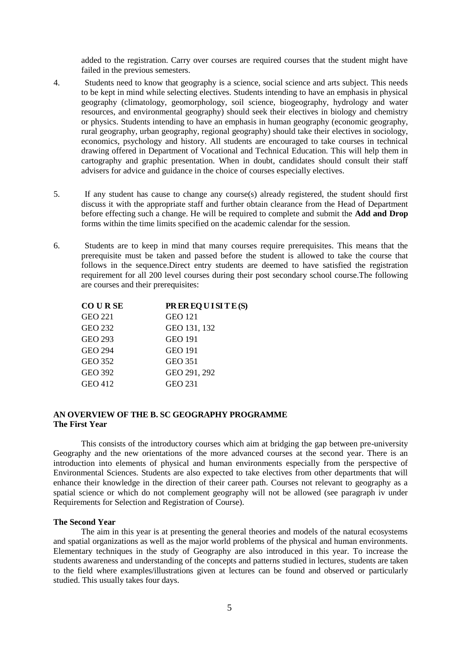added to the registration. Carry over courses are required courses that the student might have failed in the previous semesters.

- 4. Students need to know that geography is a science, social science and arts subject. This needs to be kept in mind while selecting electives. Students intending to have an emphasis in physical geography (climatology, geomorphology, soil science, biogeography, hydrology and water resources, and environmental geography) should seek their electives in biology and chemistry or physics. Students intending to have an emphasis in human geography (economic geography, rural geography, urban geography, regional geography) should take their electives in sociology, economics, psychology and history. All students are encouraged to take courses in technical drawing offered in Department of Vocational and Technical Education. This will help them in cartography and graphic presentation. When in doubt, candidates should consult their staff advisers for advice and guidance in the choice of courses especially electives.
- 5. If any student has cause to change any course(s) already registered, the student should first discuss it with the appropriate staff and further obtain clearance from the Head of Department before effecting such a change. He will be required to complete and submit the **Add and Drop**  forms within the time limits specified on the academic calendar for the session.
- 6. Students are to keep in mind that many courses require prerequisites. This means that the prerequisite must be taken and passed before the student is allowed to take the course that follows in the sequence.Direct entry students are deemed to have satisfied the registration requirement for all 200 level courses during their post secondary school course.The following are courses and their prerequisites:

| <b>COURSE</b>  | PREREQUISITE(S) |
|----------------|-----------------|
| <b>GEO 221</b> | <b>GEO 121</b>  |
| <b>GEO 232</b> | GEO 131, 132    |
| <b>GEO 293</b> | <b>GEO 191</b>  |
| <b>GEO 294</b> | <b>GEO 191</b>  |
| <b>GEO 352</b> | <b>GEO 351</b>  |
| <b>GEO 392</b> | GEO 291, 292    |
| <b>GEO 412</b> | <b>GEO 231</b>  |
|                |                 |

### **AN OVERVIEW OF THE B. SC GEOGRAPHY PROGRAMME The First Year**

This consists of the introductory courses which aim at bridging the gap between pre-university Geography and the new orientations of the more advanced courses at the second year. There is an introduction into elements of physical and human environments especially from the perspective of Environmental Sciences. Students are also expected to take electives from other departments that will enhance their knowledge in the direction of their career path. Courses not relevant to geography as a spatial science or which do not complement geography will not be allowed (see paragraph iv under Requirements for Selection and Registration of Course).

#### **The Second Year**

The aim in this year is at presenting the general theories and models of the natural ecosystems and spatial organizations as well as the major world problems of the physical and human environments. Elementary techniques in the study of Geography are also introduced in this year. To increase the students awareness and understanding of the concepts and patterns studied in lectures, students are taken to the field where examples/illustrations given at lectures can be found and observed or particularly studied. This usually takes four days.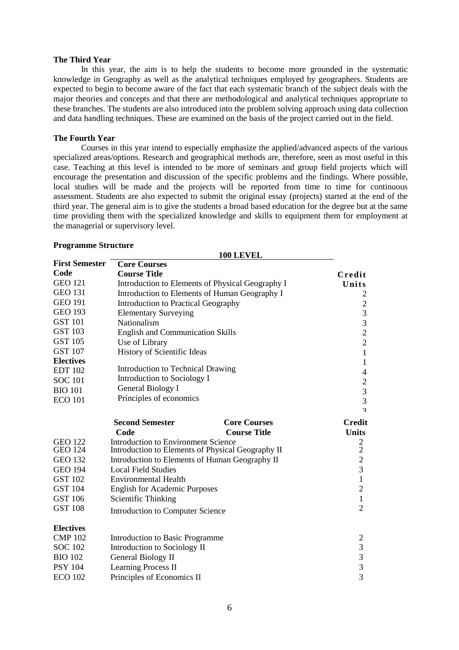#### **The Third Year**

In this year, the aim is to help the students to become more grounded in the systematic knowledge in Geography as well as the analytical techniques employed by geographers. Students are expected to begin to become aware of the fact that each systematic branch of the subject deals with the major theories and concepts and that there are methodological and analytical techniques appropriate to these branches. The students are also introduced into the problem solving approach using data collection and data handling techniques. These are examined on the basis of the project carried out in the field.

#### **The Fourth Year**

Courses in this year intend to especially emphasize the applied/advanced aspects of the various specialized areas/options. Research and geographical methods are, therefore, seen as most useful in this case. Teaching at this level is intended to be more of seminars and group field projects which will encourage the presentation and discussion of the specific problems and the findings. Where possible, local studies will be made and the projects will be reported from time to time for continuous assessment. Students are also expected to submit the original essay (projects) started at the end of the third year. The general aim is to give the students a broad based education for the degree but at the same time providing them with the specialized knowledge and skills to equipment them for employment at the managerial or supervisory level.

#### **Programme Structure**

|                       |                                                | 100 LEVEL                                         |                                            |
|-----------------------|------------------------------------------------|---------------------------------------------------|--------------------------------------------|
| <b>First Semester</b> | <b>Core Courses</b>                            |                                                   |                                            |
| Code                  | <b>Course Title</b>                            |                                                   | Credit                                     |
| <b>GEO 121</b>        |                                                | Introduction to Elements of Physical Geography I  | Units                                      |
| <b>GEO 131</b>        |                                                | Introduction to Elements of Human Geography I     | 2                                          |
| <b>GEO 191</b>        | <b>Introduction to Practical Geography</b>     |                                                   | $\overline{c}$                             |
| <b>GEO 193</b>        | <b>Elementary Surveying</b>                    |                                                   |                                            |
| <b>GST 101</b>        | Nationalism                                    |                                                   | $\begin{array}{c} 3 \\ 3 \\ 2 \end{array}$ |
| <b>GST 103</b>        | <b>English and Communication Skills</b>        |                                                   |                                            |
| <b>GST 105</b>        | Use of Library                                 |                                                   |                                            |
| <b>GST 107</b>        | History of Scientific Ideas                    |                                                   | $\mathbf{1}$                               |
| <b>Electives</b>      |                                                |                                                   | $\mathbf{1}$                               |
| <b>EDT</b> 102        | Introduction to Technical Drawing              |                                                   | $\overline{4}$                             |
| <b>SOC 101</b>        | Introduction to Sociology I                    |                                                   |                                            |
| <b>BIO 101</b>        | General Biology I                              |                                                   |                                            |
| <b>ECO 101</b>        | Principles of economics                        |                                                   | $\begin{array}{c} 2 \\ 3 \\ 3 \end{array}$ |
|                       |                                                |                                                   | $\overline{\mathbf{c}}$                    |
|                       | <b>Second Semester</b>                         | <b>Core Courses</b>                               | <b>Credit</b>                              |
|                       | Code                                           | <b>Course Title</b>                               | <b>Units</b>                               |
| <b>GEO 122</b>        | Introduction to Environment Science            |                                                   | $\frac{2}{2}$                              |
| <b>GEO 124</b>        |                                                | Introduction to Elements of Physical Geography II |                                            |
| <b>GEO 132</b>        | Introduction to Elements of Human Geography II |                                                   | $\overline{2}$                             |
| <b>GEO 194</b>        | <b>Local Field Studies</b>                     |                                                   | 3                                          |
| <b>GST 102</b>        | <b>Environmental Health</b>                    |                                                   | $\mathbf{1}$                               |
| <b>GST 104</b>        | <b>English for Academic Purposes</b>           |                                                   | $\overline{2}$                             |
| <b>GST 106</b>        | <b>Scientific Thinking</b>                     |                                                   | $\mathbf{1}$                               |
| <b>GST 108</b>        | Introduction to Computer Science               |                                                   | $\overline{2}$                             |
| <b>Electives</b>      |                                                |                                                   |                                            |
| <b>CMP 102</b>        | Introduction to Basic Programme                |                                                   | $\overline{2}$                             |
| <b>SOC 102</b>        | Introduction to Sociology II                   |                                                   | 3                                          |
| <b>BIO 102</b>        | General Biology II                             |                                                   | 3                                          |
| <b>PSY 104</b>        | <b>Learning Process II</b>                     |                                                   | 3                                          |
| <b>ECO 102</b>        | Principles of Economics II                     |                                                   | 3                                          |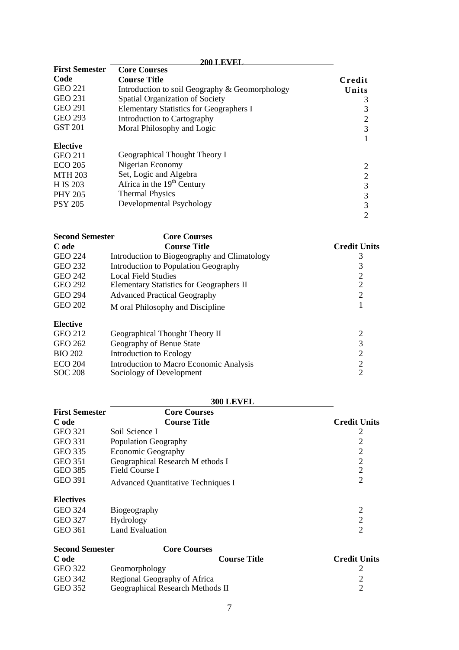**200 LEVEL**

| <b>First Semester</b> | <b>Core Courses</b>                            |        |
|-----------------------|------------------------------------------------|--------|
| Code                  | <b>Course Title</b>                            | Credit |
| <b>GEO 221</b>        | Introduction to soil Geography & Geomorphology | Units  |
| GEO 231               | Spatial Organization of Society                | 3      |
| <b>GEO 291</b>        | <b>Elementary Statistics for Geographers I</b> |        |
| GEO 293               | Introduction to Cartography                    | 2      |
| <b>GST 201</b>        | Moral Philosophy and Logic                     | 3      |
|                       |                                                |        |
| <b>Elective</b>       |                                                |        |
| <b>GEO 211</b>        | Geographical Thought Theory I                  |        |
| <b>ECO 205</b>        | Nigerian Economy                               | 2      |
| <b>MTH 203</b>        | Set, Logic and Algebra                         | 2      |
| H IS 203              | Africa in the 19 <sup>th</sup> Century         | 3      |
| <b>PHY 205</b>        | <b>Thermal Physics</b>                         | 3      |
| <b>PSY 205</b>        | Developmental Psychology                       | 3      |
|                       |                                                | 2      |

| <b>Second Semester</b> | <b>Core Courses</b>                          |                     |
|------------------------|----------------------------------------------|---------------------|
| C ode                  | <b>Course Title</b>                          | <b>Credit Units</b> |
| GEO 224                | Introduction to Biogeography and Climatology | 3                   |
| GEO 232                | Introduction to Population Geography         | 3                   |
| GEO 242                | Local Field Studies                          | 2                   |
| GEO 292                | Elementary Statistics for Geographers II     | $\overline{2}$      |
| <b>GEO 294</b>         | <b>Advanced Practical Geography</b>          | $\overline{2}$      |
| GEO 202                | M oral Philosophy and Discipline             |                     |
| Elective               |                                              |                     |
| GEO 212                | Geographical Thought Theory II               | 2                   |
| GEO 262                | Geography of Benue State                     | 3                   |
| <b>BIO 202</b>         | Introduction to Ecology                      | 2                   |
| <b>ECO 204</b>         | Introduction to Macro Economic Analysis      | 2                   |
| <b>SOC 208</b>         | Sociology of Development                     | $\overline{2}$      |

### **300 LEVEL**

| <b>First Semester</b>  | <b>Core Courses</b>                       |                     |
|------------------------|-------------------------------------------|---------------------|
| C ode                  | <b>Course Title</b>                       | <b>Credit Units</b> |
| GEO 321                | Soil Science I                            |                     |
| GEO 331                | Population Geography                      | $\overline{2}$      |
| GEO 335                | <b>Economic Geography</b>                 | $\overline{2}$      |
| <b>GEO 351</b>         | Geographical Research M ethods I          | $\overline{2}$      |
| <b>GEO 385</b>         | Field Course I                            | $\overline{2}$      |
| GEO 391                | <b>Advanced Quantitative Techniques I</b> | $\overline{2}$      |
| <b>Electives</b>       |                                           |                     |
| GEO 324                | Biogeography                              | 2                   |
| GEO 327                | Hydrology                                 | $\overline{2}$      |
| GEO 361                | <b>Land Evaluation</b>                    | $\overline{2}$      |
| <b>Second Semester</b> | <b>Core Courses</b>                       |                     |

| C ode   | <b>Course Title</b>              | <b>Credit Units</b> |
|---------|----------------------------------|---------------------|
| GEO 322 | Geomorphology                    |                     |
| GEO 342 | Regional Geography of Africa     |                     |
| GEO 352 | Geographical Research Methods II |                     |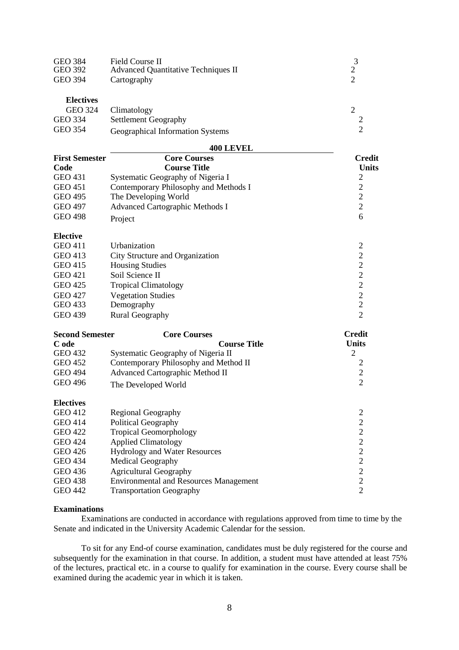| <b>GEO 384</b><br>GEO 392<br><b>GEO 394</b> | Field Course II<br><b>Advanced Quantitative Techniques II</b><br>Cartography |  |
|---------------------------------------------|------------------------------------------------------------------------------|--|
| <b>Electives</b><br><b>GEO 324</b>          | Climatology                                                                  |  |

| GEO 334 | <b>Settlement Geography</b>      |  |
|---------|----------------------------------|--|
| GEO 354 | Geographical Information Systems |  |

#### **400 LEVEL**

| <b>First Semester</b>  | <b>Core Courses</b>                           | <b>Credit</b>                              |
|------------------------|-----------------------------------------------|--------------------------------------------|
| Code                   | <b>Course Title</b>                           | <b>Units</b>                               |
| <b>GEO 431</b>         | Systematic Geography of Nigeria I             | $\overline{2}$                             |
| <b>GEO 451</b>         | Contemporary Philosophy and Methods I         | $\overline{c}$                             |
| <b>GEO 495</b>         | The Developing World                          | $\overline{c}$                             |
| <b>GEO 497</b>         | <b>Advanced Cartographic Methods I</b>        | $\overline{2}$                             |
| <b>GEO 498</b>         | Project                                       | 6                                          |
| <b>Elective</b>        |                                               |                                            |
| <b>GEO 411</b>         | Urbanization                                  | $\overline{c}$                             |
| <b>GEO 413</b>         | City Structure and Organization               | $\overline{c}$                             |
| GEO 415                | <b>Housing Studies</b>                        | $\overline{c}$                             |
| <b>GEO 421</b>         | Soil Science II                               | $\overline{c}$                             |
| <b>GEO 425</b>         | <b>Tropical Climatology</b>                   | $\overline{c}$                             |
| <b>GEO 427</b>         | <b>Vegetation Studies</b>                     | $\frac{2}{2}$                              |
| <b>GEO 433</b>         | Demography                                    |                                            |
| <b>GEO 439</b>         | Rural Geography                               | $\overline{2}$                             |
| <b>Second Semester</b> | <b>Core Courses</b>                           | <b>Credit</b>                              |
| C ode                  | <b>Course Title</b>                           | <b>Units</b>                               |
| <b>GEO 432</b>         | Systematic Geography of Nigeria II            | $\overline{2}$                             |
| <b>GEO 452</b>         | Contemporary Philosophy and Method II         | $\overline{c}$                             |
| <b>GEO 494</b>         | Advanced Cartographic Method II               | $\overline{c}$                             |
| <b>GEO 496</b>         | The Developed World                           | $\overline{2}$                             |
| <b>Electives</b>       |                                               |                                            |
| <b>GEO 412</b>         | <b>Regional Geography</b>                     | $\overline{c}$                             |
| <b>GEO 414</b>         | Political Geography                           | $\overline{c}$                             |
| <b>GEO 422</b>         | <b>Tropical Geomorphology</b>                 |                                            |
| <b>GEO 424</b>         | <b>Applied Climatology</b>                    | $\begin{array}{c} 2 \\ 2 \\ 2 \end{array}$ |
| <b>GEO 426</b>         | <b>Hydrology and Water Resources</b>          |                                            |
| <b>GEO 434</b>         | <b>Medical Geography</b>                      |                                            |
| <b>GEO 436</b>         | <b>Agricultural Geography</b>                 | $\overline{c}$                             |
| <b>GEO 438</b>         | <b>Environmental and Resources Management</b> | $\overline{c}$                             |
| <b>GEO 442</b>         |                                               | $\overline{2}$                             |

#### **Examinations**

Examinations are conducted in accordance with regulations approved from time to time by the Senate and indicated in the University Academic Calendar for the session.

To sit for any End-of course examination, candidates must be duly registered for the course and subsequently for the examination in that course. In addition, a student must have attended at least 75% of the lectures, practical etc. in a course to qualify for examination in the course. Every course shall be examined during the academic year in which it is taken.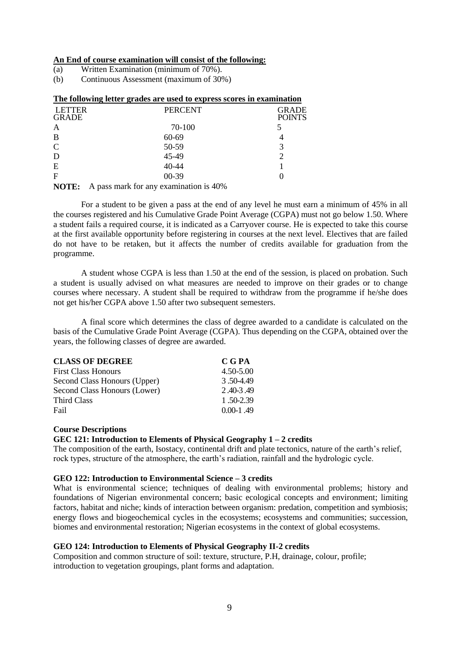#### **An End of course examination will consist of the following:**

(a) Written Examination (minimum of 70%).

(b) Continuous Assessment (maximum of 30%)

| The following letter grades are used to express scores in examination |                |                        |  |
|-----------------------------------------------------------------------|----------------|------------------------|--|
| <b>LETTER</b><br><b>GRADE</b>                                         | <b>PERCENT</b> | GRADE<br><b>POINTS</b> |  |
| A                                                                     | 70-100         |                        |  |
| B                                                                     | $60-69$        |                        |  |
| $\mathcal{C}$                                                         | 50-59          |                        |  |
| D                                                                     | 45-49          |                        |  |
| E                                                                     | 40-44          |                        |  |
| $\mathbf{F}$                                                          | $00-39$        |                        |  |

**NOTE:** A pass mark for any examination is 40%

For a student to be given a pass at the end of any level he must earn a minimum of 45% in all the courses registered and his Cumulative Grade Point Average (CGPA) must not go below 1.50. Where a student fails a required course, it is indicated as a Carryover course. He is expected to take this course at the first available opportunity before registering in courses at the next level. Electives that are failed do not have to be retaken, but it affects the number of credits available for graduation from the programme.

A student whose CGPA is less than 1.50 at the end of the session, is placed on probation. Such a student is usually advised on what measures are needed to improve on their grades or to change courses where necessary. A student shall be required to withdraw from the programme if he/she does not get his/her CGPA above 1.50 after two subsequent semesters.

A final score which determines the class of degree awarded to a candidate is calculated on the basis of the Cumulative Grade Point Average (CGPA). Thus depending on the CGPA, obtained over the years, the following classes of degree are awarded.

| <b>CLASS OF DEGREE</b>       | C G PA        |
|------------------------------|---------------|
| <b>First Class Honours</b>   | $4.50 - 5.00$ |
| Second Class Honours (Upper) | 3.50-4.49     |
| Second Class Honours (Lower) | 2.40-3.49     |
| Third Class                  | 1.50-2.39     |
| Fail                         | $0.00 - 1.49$ |

#### **Course Descriptions**

#### **GEC 121: Introduction to Elements of Physical Geography 1 – 2 credits**

The composition of the earth, Isostacy, continental drift and plate tectonics, nature of the earth's relief, rock types, structure of the atmosphere, the earth's radiation, rainfall and the hydrologic cycle.

#### **GEO 122: Introduction to Environmental Science – 3 credits**

What is environmental science; techniques of dealing with environmental problems; history and foundations of Nigerian environmental concern; basic ecological concepts and environment; limiting factors, habitat and niche; kinds of interaction between organism: predation, competition and symbiosis; energy flows and biogeochemical cycles in the ecosystems; ecosystems and communities; succession, biomes and environmental restoration; Nigerian ecosystems in the context of global ecosystems.

### **GEO 124: Introduction to Elements of Physical Geography II-2 credits**

Composition and common structure of soil: texture, structure, P.H, drainage, colour, profile; introduction to vegetation groupings, plant forms and adaptation.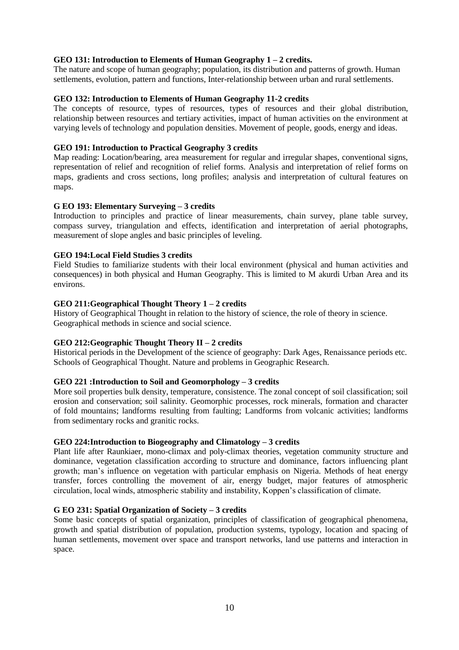### **GEO 131: Introduction to Elements of Human Geography 1 – 2 credits.**

The nature and scope of human geography; population, its distribution and patterns of growth. Human settlements, evolution, pattern and functions, Inter-relationship between urban and rural settlements.

### **GEO 132: Introduction to Elements of Human Geography 11-2 credits**

The concepts of resource, types of resources, types of resources and their global distribution, relationship between resources and tertiary activities, impact of human activities on the environment at varying levels of technology and population densities. Movement of people, goods, energy and ideas.

### **GEO 191: Introduction to Practical Geography 3 credits**

Map reading: Location/bearing, area measurement for regular and irregular shapes, conventional signs, representation of relief and recognition of relief forms. Analysis and interpretation of relief forms on maps, gradients and cross sections, long profiles; analysis and interpretation of cultural features on maps.

#### **G EO 193: Elementary Surveying – 3 credits**

Introduction to principles and practice of linear measurements, chain survey, plane table survey, compass survey, triangulation and effects, identification and interpretation of aerial photographs, measurement of slope angles and basic principles of leveling.

#### **GEO 194:Local Field Studies 3 credits**

Field Studies to familiarize students with their local environment (physical and human activities and consequences) in both physical and Human Geography. This is limited to M akurdi Urban Area and its environs.

#### **GEO 211:Geographical Thought Theory 1 – 2 credits**

History of Geographical Thought in relation to the history of science, the role of theory in science. Geographical methods in science and social science.

### **GEO 212:Geographic Thought Theory II – 2 credits**

Historical periods in the Development of the science of geography: Dark Ages, Renaissance periods etc. Schools of Geographical Thought. Nature and problems in Geographic Research.

#### **GEO 221 :Introduction to Soil and Geomorphology – 3 credits**

More soil properties bulk density, temperature, consistence. The zonal concept of soil classification; soil erosion and conservation; soil salinity. Geomorphic processes, rock minerals, formation and character of fold mountains; landforms resulting from faulting; Landforms from volcanic activities; landforms from sedimentary rocks and granitic rocks.

#### **GEO 224:Introduction to Biogeography and Climatology – 3 credits**

Plant life after Raunkiaer, mono-climax and poly-climax theories, vegetation community structure and dominance, vegetation classification according to structure and dominance, factors influencing plant growth; man's influence on vegetation with particular emphasis on Nigeria. Methods of heat energy transfer, forces controlling the movement of air, energy budget, major features of atmospheric circulation, local winds, atmospheric stability and instability, Koppen's classification of climate.

### **G EO 231: Spatial Organization of Society – 3 credits**

Some basic concepts of spatial organization, principles of classification of geographical phenomena, growth and spatial distribution of population, production systems, typology, location and spacing of human settlements, movement over space and transport networks, land use patterns and interaction in space.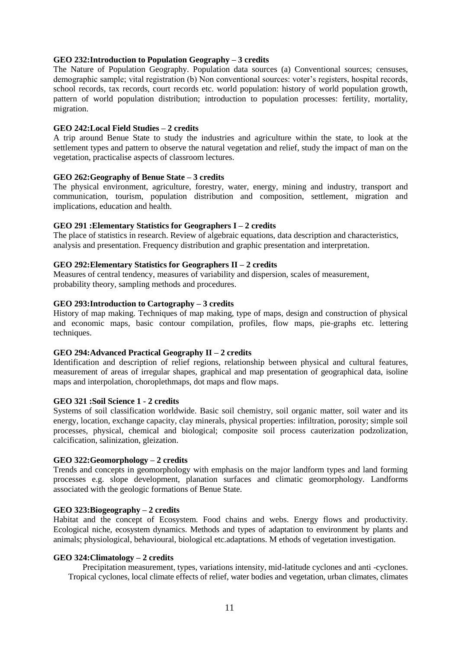#### **GEO 232:Introduction to Population Geography – 3 credits**

The Nature of Population Geography. Population data sources (a) Conventional sources; censuses, demographic sample; vital registration (b) Non conventional sources: voter's registers, hospital records, school records, tax records, court records etc. world population: history of world population growth, pattern of world population distribution; introduction to population processes: fertility, mortality, migration.

#### **GEO 242:Local Field Studies – 2 credits**

A trip around Benue State to study the industries and agriculture within the state, to look at the settlement types and pattern to observe the natural vegetation and relief, study the impact of man on the vegetation, practicalise aspects of classroom lectures.

### **GEO 262:Geography of Benue State – 3 credits**

The physical environment, agriculture, forestry, water, energy, mining and industry, transport and communication, tourism, population distribution and composition, settlement, migration and implications, education and health.

#### **GEO 291 :Elementary Statistics for Geographers I – 2 credits**

The place of statistics in research. Review of algebraic equations, data description and characteristics, analysis and presentation. Frequency distribution and graphic presentation and interpretation.

#### **GEO 292:Elementary Statistics for Geographers II – 2 credits**

Measures of central tendency, measures of variability and dispersion, scales of measurement, probability theory, sampling methods and procedures.

#### **GEO 293:Introduction to Cartography – 3 credits**

History of map making. Techniques of map making, type of maps, design and construction of physical and economic maps, basic contour compilation, profiles, flow maps, pie-graphs etc. lettering techniques.

### **GEO 294:Advanced Practical Geography II – 2 credits**

Identification and description of relief regions, relationship between physical and cultural features, measurement of areas of irregular shapes, graphical and map presentation of geographical data, isoline maps and interpolation, choroplethmaps, dot maps and flow maps.

#### **GEO 321 :Soil Science 1 - 2 credits**

Systems of soil classification worldwide. Basic soil chemistry, soil organic matter, soil water and its energy, location, exchange capacity, clay minerals, physical properties: infiltration, porosity; simple soil processes, physical, chemical and biological; composite soil process cauterization podzolization, calcification, salinization, gleization.

#### **GEO 322:Geomorphology – 2 credits**

Trends and concepts in geomorphology with emphasis on the major landform types and land forming processes e.g. slope development, planation surfaces and climatic geomorphology. Landforms associated with the geologic formations of Benue State.

### **GEO 323:Biogeography – 2 credits**

Habitat and the concept of Ecosystem. Food chains and webs. Energy flows and productivity. Ecological niche, ecosystem dynamics. Methods and types of adaptation to environment by plants and animals; physiological, behavioural, biological etc.adaptations. M ethods of vegetation investigation.

#### **GEO 324:Climatology – 2 credits**

Precipitation measurement, types, variations intensity, mid-latitude cyclones and anti -cyclones. Tropical cyclones, local climate effects of relief, water bodies and vegetation, urban climates, climates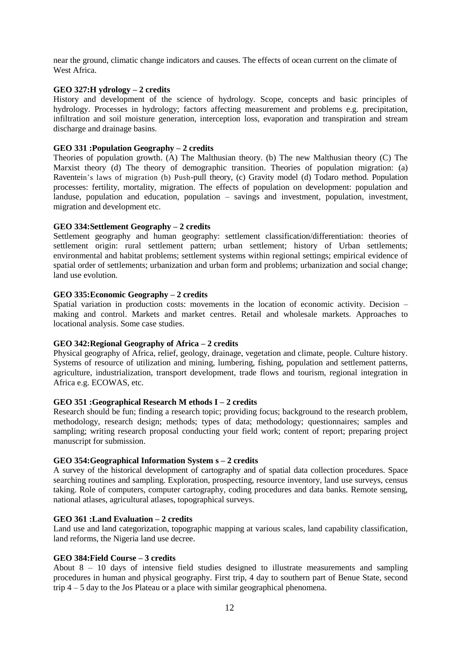near the ground, climatic change indicators and causes. The effects of ocean current on the climate of West Africa

### **GEO 327:H ydrology – 2 credits**

History and development of the science of hydrology. Scope, concepts and basic principles of hydrology. Processes in hydrology; factors affecting measurement and problems e.g. precipitation, infiltration and soil moisture generation, interception loss, evaporation and transpiration and stream discharge and drainage basins.

### **GEO 331 :Population Geography – 2 credits**

Theories of population growth. (A) The Malthusian theory. (b) The new Malthusian theory (C) The Marxist theory (d) The theory of demographic transition. Theories of population migration: (a) Raventein's laws of migration (b) Push-pull theory, (c) Gravity model (d) Todaro method. Population processes: fertility, mortality, migration. The effects of population on development: population and landuse, population and education, population – savings and investment, population, investment, migration and development etc.

### **GEO 334:Settlement Geography – 2 credits**

Settlement geography and human geography: settlement classification/differentiation: theories of settlement origin: rural settlement pattern; urban settlement; history of Urban settlements; environmental and habitat problems; settlement systems within regional settings; empirical evidence of spatial order of settlements; urbanization and urban form and problems; urbanization and social change; land use evolution.

### **GEO 335:Economic Geography – 2 credits**

Spatial variation in production costs: movements in the location of economic activity. Decision – making and control. Markets and market centres. Retail and wholesale markets. Approaches to locational analysis. Some case studies.

### **GEO 342:Regional Geography of Africa – 2 credits**

Physical geography of Africa, relief, geology, drainage, vegetation and climate, people. Culture history. Systems of resource of utilization and mining, lumbering, fishing, population and settlement patterns, agriculture, industrialization, transport development, trade flows and tourism, regional integration in Africa e.g. ECOWAS, etc.

### **GEO 351 :Geographical Research M ethods I – 2 credits**

Research should be fun; finding a research topic; providing focus; background to the research problem, methodology, research design; methods; types of data; methodology; questionnaires; samples and sampling; writing research proposal conducting your field work; content of report; preparing project manuscript for submission.

### **GEO 354:Geographical Information System s – 2 credits**

A survey of the historical development of cartography and of spatial data collection procedures. Space searching routines and sampling. Exploration, prospecting, resource inventory, land use surveys, census taking. Role of computers, computer cartography, coding procedures and data banks. Remote sensing, national atlases, agricultural atlases, topographical surveys.

### **GEO 361 :Land Evaluation – 2 credits**

Land use and land categorization, topographic mapping at various scales, land capability classification, land reforms, the Nigeria land use decree.

### **GEO 384:Field Course – 3 credits**

About 8 – 10 days of intensive field studies designed to illustrate measurements and sampling procedures in human and physical geography. First trip, 4 day to southern part of Benue State, second trip 4 – 5 day to the Jos Plateau or a place with similar geographical phenomena.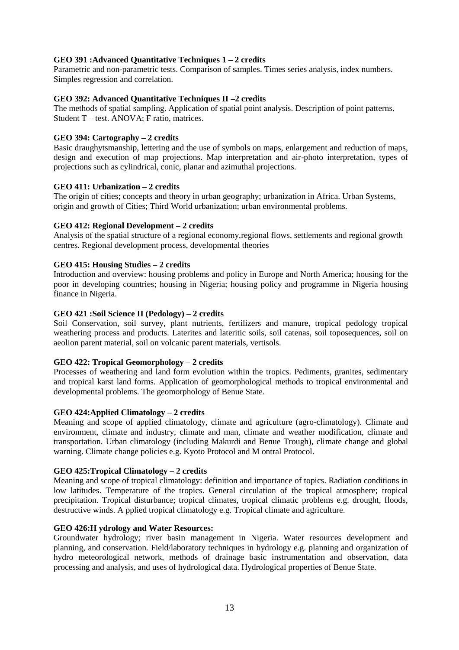### **GEO 391 :Advanced Quantitative Techniques 1 – 2 credits**

Parametric and non-parametric tests. Comparison of samples. Times series analysis, index numbers. Simples regression and correlation.

### **GEO 392: Advanced Quantitative Techniques II –2 credits**

The methods of spatial sampling. Application of spatial point analysis. Description of point patterns. Student T – test. ANOVA; F ratio, matrices.

### **GEO 394: Cartography – 2 credits**

Basic draughytsmanship, lettering and the use of symbols on maps, enlargement and reduction of maps, design and execution of map projections. Map interpretation and air-photo interpretation, types of projections such as cylindrical, conic, planar and azimuthal projections.

### **GEO 411: Urbanization – 2 credits**

The origin of cities; concepts and theory in urban geography; urbanization in Africa. Urban Systems, origin and growth of Cities; Third World urbanization; urban environmental problems.

### **GEO 412: Regional Development – 2 credits**

Analysis of the spatial structure of a regional economy,regional flows, settlements and regional growth centres. Regional development process, developmental theories

### **GEO 415: Housing Studies – 2 credits**

Introduction and overview: housing problems and policy in Europe and North America; housing for the poor in developing countries; housing in Nigeria; housing policy and programme in Nigeria housing finance in Nigeria.

### **GEO 421 :Soil Science II (Pedology) – 2 credits**

Soil Conservation, soil survey, plant nutrients, fertilizers and manure, tropical pedology tropical weathering process and products. Laterites and lateritic soils, soil catenas, soil toposequences, soil on aeolion parent material, soil on volcanic parent materials, vertisols.

### **GEO 422: Tropical Geomorphology – 2 credits**

Processes of weathering and land form evolution within the tropics. Pediments, granites, sedimentary and tropical karst land forms. Application of geomorphological methods to tropical environmental and developmental problems. The geomorphology of Benue State.

### **GEO 424:Applied Climatology – 2 credits**

Meaning and scope of applied climatology, climate and agriculture (agro-climatology). Climate and environment, climate and industry, climate and man, climate and weather modification, climate and transportation. Urban climatology (including Makurdi and Benue Trough), climate change and global warning. Climate change policies e.g. Kyoto Protocol and M ontral Protocol.

### **GEO 425:Tropical Climatology – 2 credits**

Meaning and scope of tropical climatology: definition and importance of topics. Radiation conditions in low latitudes. Temperature of the tropics. General circulation of the tropical atmosphere; tropical precipitation. Tropical disturbance; tropical climates, tropical climatic problems e.g. drought, floods, destructive winds. A pplied tropical climatology e.g. Tropical climate and agriculture.

### **GEO 426:H ydrology and Water Resources:**

Groundwater hydrology; river basin management in Nigeria. Water resources development and planning, and conservation. Field/laboratory techniques in hydrology e.g. planning and organization of hydro meteorological network, methods of drainage basic instrumentation and observation, data processing and analysis, and uses of hydrological data. Hydrological properties of Benue State.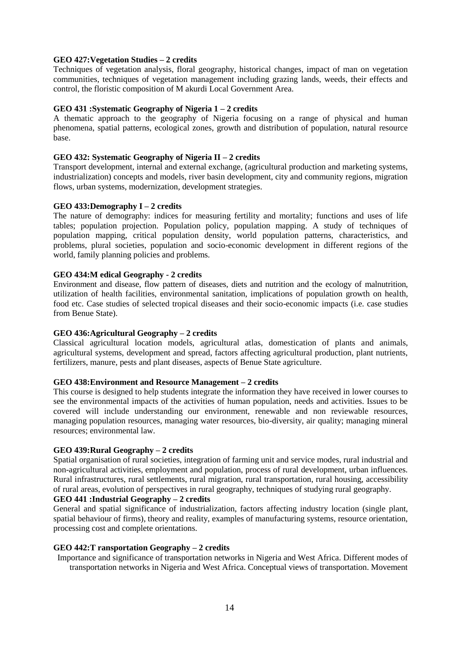### **GEO 427:Vegetation Studies – 2 credits**

Techniques of vegetation analysis, floral geography, historical changes, impact of man on vegetation communities, techniques of vegetation management including grazing lands, weeds, their effects and control, the floristic composition of M akurdi Local Government Area.

### **GEO 431 :Systematic Geography of Nigeria 1 – 2 credits**

A thematic approach to the geography of Nigeria focusing on a range of physical and human phenomena, spatial patterns, ecological zones, growth and distribution of population, natural resource base.

### **GEO 432: Systematic Geography of Nigeria II – 2 credits**

Transport development, internal and external exchange, (agricultural production and marketing systems, industrialization) concepts and models, river basin development, city and community regions, migration flows, urban systems, modernization, development strategies.

### **GEO 433:Demography I – 2 credits**

The nature of demography: indices for measuring fertility and mortality; functions and uses of life tables; population projection. Population policy, population mapping. A study of techniques of population mapping, critical population density, world population patterns, characteristics, and problems, plural societies, population and socio-economic development in different regions of the world, family planning policies and problems.

### **GEO 434:M edical Geography - 2 credits**

Environment and disease, flow pattern of diseases, diets and nutrition and the ecology of malnutrition, utilization of health facilities, environmental sanitation, implications of population growth on health, food etc. Case studies of selected tropical diseases and their socio-economic impacts (i.e. case studies from Benue State).

### **GEO 436:Agricultural Geography – 2 credits**

Classical agricultural location models, agricultural atlas, domestication of plants and animals, agricultural systems, development and spread, factors affecting agricultural production, plant nutrients, fertilizers, manure, pests and plant diseases, aspects of Benue State agriculture.

### **GEO 438:Environment and Resource Management – 2 credits**

This course is designed to help students integrate the information they have received in lower courses to see the environmental impacts of the activities of human population, needs and activities. Issues to be covered will include understanding our environment, renewable and non reviewable resources, managing population resources, managing water resources, bio-diversity, air quality; managing mineral resources; environmental law.

### **GEO 439:Rural Geography – 2 credits**

Spatial organisation of rural societies, integration of farming unit and service modes, rural industrial and non-agricultural activities, employment and population, process of rural development, urban influences. Rural infrastructures, rural settlements, rural migration, rural transportation, rural housing, accessibility of rural areas, evolution of perspectives in rural geography, techniques of studying rural geography.

## **GEO 441 :Industrial Geography – 2 credits**

General and spatial significance of industrialization, factors affecting industry location (single plant, spatial behaviour of firms), theory and reality, examples of manufacturing systems, resource orientation, processing cost and complete orientations.

### **GEO 442:T ransportation Geography – 2 credits**

Importance and significance of transportation networks in Nigeria and West Africa. Different modes of transportation networks in Nigeria and West Africa. Conceptual views of transportation. Movement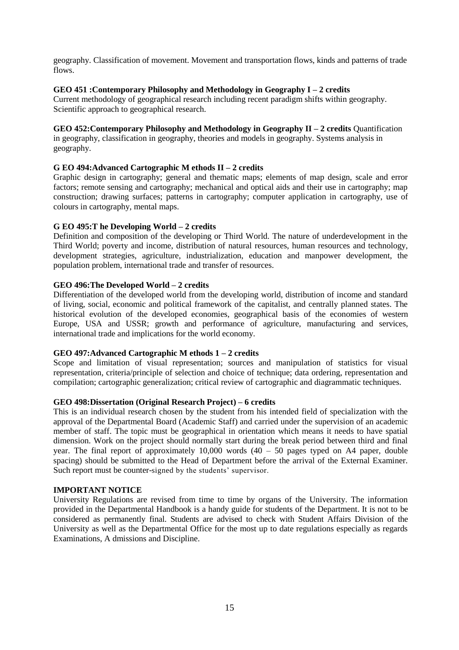geography. Classification of movement. Movement and transportation flows, kinds and patterns of trade flows.

### **GEO 451 :Contemporary Philosophy and Methodology in Geography I – 2 credits**

Current methodology of geographical research including recent paradigm shifts within geography. Scientific approach to geographical research.

### **GEO 452:Contemporary Philosophy and Methodology in Geography II – 2 credits** Quantification

in geography, classification in geography, theories and models in geography. Systems analysis in geography.

### **G EO 494:Advanced Cartographic M ethods II – 2 credits**

Graphic design in cartography; general and thematic maps; elements of map design, scale and error factors; remote sensing and cartography; mechanical and optical aids and their use in cartography; map construction; drawing surfaces; patterns in cartography; computer application in cartography, use of colours in cartography, mental maps.

### **G EO 495:T he Developing World – 2 credits**

Definition and composition of the developing or Third World. The nature of underdevelopment in the Third World; poverty and income, distribution of natural resources, human resources and technology, development strategies, agriculture, industrialization, education and manpower development, the population problem, international trade and transfer of resources.

### **GEO 496:The Developed World – 2 credits**

Differentiation of the developed world from the developing world, distribution of income and standard of living, social, economic and political framework of the capitalist, and centrally planned states. The historical evolution of the developed economies, geographical basis of the economies of western Europe, USA and USSR; growth and performance of agriculture, manufacturing and services, international trade and implications for the world economy.

### **GEO 497:Advanced Cartographic M ethods 1 – 2 credits**

Scope and limitation of visual representation; sources and manipulation of statistics for visual representation, criteria/principle of selection and choice of technique; data ordering, representation and compilation; cartographic generalization; critical review of cartographic and diagrammatic techniques.

### **GEO 498:Dissertation (Original Research Project) – 6 credits**

This is an individual research chosen by the student from his intended field of specialization with the approval of the Departmental Board (Academic Staff) and carried under the supervision of an academic member of staff. The topic must be geographical in orientation which means it needs to have spatial dimension. Work on the project should normally start during the break period between third and final year. The final report of approximately 10,000 words (40 – 50 pages typed on A4 paper, double spacing) should be submitted to the Head of Department before the arrival of the External Examiner. Such report must be counter-signed by the students' supervisor.

### **IMPORTANT NOTICE**

University Regulations are revised from time to time by organs of the University. The information provided in the Departmental Handbook is a handy guide for students of the Department. It is not to be considered as permanently final. Students are advised to check with Student Affairs Division of the University as well as the Departmental Office for the most up to date regulations especially as regards Examinations, A dmissions and Discipline.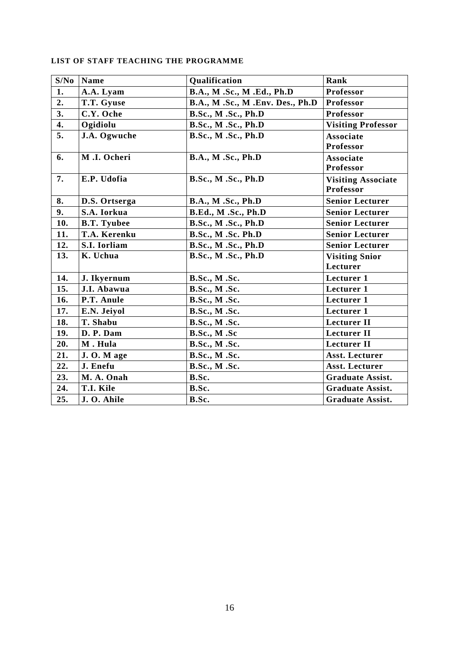| S/No | <b>Name</b>        | Qualification                    | Rank                      |
|------|--------------------|----------------------------------|---------------------------|
| 1.   | A.A. Lyam          | B.A., M .Sc., M .Ed., Ph.D       | Professor                 |
| 2.   | T.T. Gyuse         | B.A., M .Sc., M .Env. Des., Ph.D | <b>Professor</b>          |
| 3.   | C.Y. Oche          | <b>B.Sc., M .Sc., Ph.D</b>       | Professor                 |
| 4.   | Ogidiolu           | <b>B.Sc., M .Sc., Ph.D</b>       | <b>Visiting Professor</b> |
| 5.   | J.A. Ogwuche       | <b>B.Sc., M .Sc., Ph.D</b>       | <b>Associate</b>          |
|      |                    |                                  | Professor                 |
| 6.   | M .I. Ocheri       | <b>B.A., M .Sc., Ph.D</b>        | <b>Associate</b>          |
|      |                    |                                  | Professor                 |
| 7.   | E.P. Udofia        | <b>B.Sc., M .Sc., Ph.D</b>       | <b>Visiting Associate</b> |
|      |                    |                                  | Professor                 |
| 8.   | D.S. Ortserga      | <b>B.A., M .Sc., Ph.D</b>        | <b>Senior Lecturer</b>    |
| 9.   | S.A. Iorkua        | <b>B.Ed., M .Sc., Ph.D</b>       | <b>Senior Lecturer</b>    |
| 10.  | <b>B.T. Tyubee</b> | <b>B.Sc., M .Sc., Ph.D</b>       | <b>Senior Lecturer</b>    |
| 11.  | T.A. Kerenku       | B.Sc., M .Sc. Ph.D               | <b>Senior Lecturer</b>    |
| 12.  | S.I. Iorliam       | <b>B.Sc., M .Sc., Ph.D</b>       | <b>Senior Lecturer</b>    |
| 13.  | K. Uchua           | <b>B.Sc., M .Sc., Ph.D</b>       | <b>Visiting Snior</b>     |
|      |                    |                                  | Lecturer                  |
| 14.  | J. Ikyernum        | <b>B.Sc., M.Sc.</b>              | <b>Lecturer 1</b>         |
| 15.  | J.I. Abawua        | <b>B.Sc., M.Sc.</b>              | <b>Lecturer 1</b>         |
| 16.  | P.T. Anule         | <b>B.Sc., M.Sc.</b>              | Lecturer 1                |
| 17.  | E.N. Jeiyol        | <b>B.Sc., M.Sc.</b>              | Lecturer 1                |
| 18.  | T. Shabu           | <b>B.Sc., M.Sc.</b>              | <b>Lecturer II</b>        |
| 19.  | D. P. Dam          | <b>B.Sc., M.Sc</b>               | <b>Lecturer II</b>        |
| 20.  | M. Hula            | <b>B.Sc., M .Sc.</b>             | <b>Lecturer II</b>        |
| 21.  | J.O.Mage           | <b>B.Sc., M.Sc.</b>              | <b>Asst. Lecturer</b>     |
| 22.  | J. Enefu           | <b>B.Sc., M .Sc.</b>             | <b>Asst. Lecturer</b>     |
| 23.  | M. A. Onah         | B.Sc.                            | <b>Graduate Assist.</b>   |
| 24.  | T.I. Kile          | B.Sc.                            | <b>Graduate Assist.</b>   |
| 25.  | J. O. Ahile        | B.Sc.                            | <b>Graduate Assist.</b>   |

## **LIST OF STAFF TEACHING THE PROGRAMME**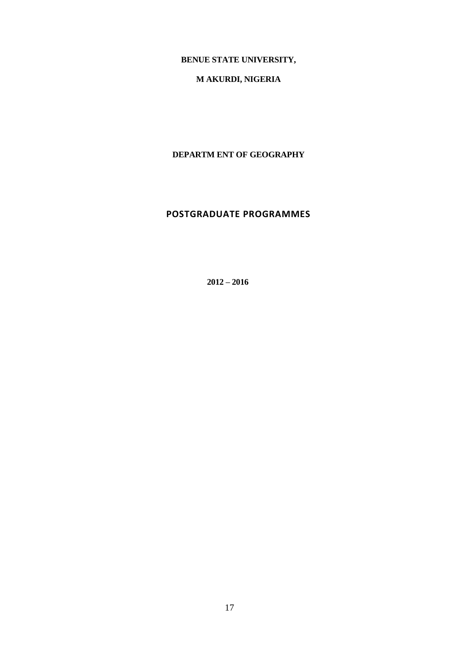# **BENUE STATE UNIVERSITY,**

## **M AKURDI, NIGERIA**

### **DEPARTM ENT OF GEOGRAPHY**

## **POSTGRADUATE PROGRAMMES**

**2012 – 2016**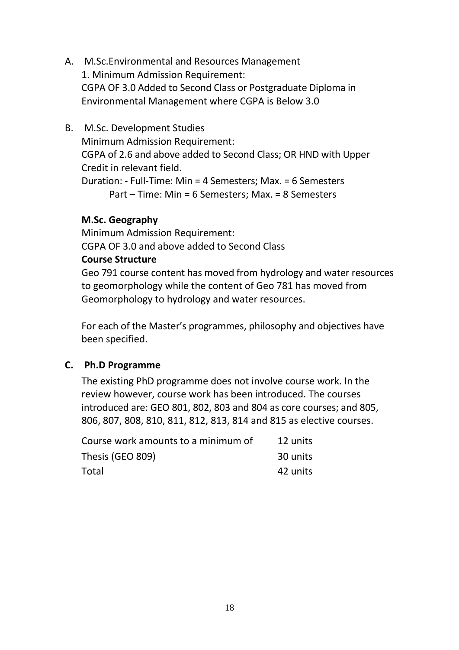- A. M.Sc.Environmental and Resources Management 1. Minimum Admission Requirement: CGPA OF 3.0 Added to Second Class or Postgraduate Diploma in Environmental Management where CGPA is Below 3.0
- B. M.Sc. Development Studies Minimum Admission Requirement: CGPA of 2.6 and above added to Second Class; OR HND with Upper Credit in relevant field. Duration: - Full-Time: Min = 4 Semesters; Max. = 6 Semesters Part – Time: Min = 6 Semesters; Max. = 8 Semesters

# **M.Sc. Geography**

Minimum Admission Requirement: CGPA OF 3.0 and above added to Second Class

# **Course Structure**

Geo 791 course content has moved from hydrology and water resources to geomorphology while the content of Geo 781 has moved from Geomorphology to hydrology and water resources.

For each of the Master's programmes, philosophy and objectives have been specified.

# **C. Ph.D Programme**

The existing PhD programme does not involve course work. In the review however, course work has been introduced. The courses introduced are: GEO 801, 802, 803 and 804 as core courses; and 805, 806, 807, 808, 810, 811, 812, 813, 814 and 815 as elective courses.

| Course work amounts to a minimum of | 12 units |
|-------------------------------------|----------|
| Thesis (GEO 809)                    | 30 units |
| Total                               | 42 units |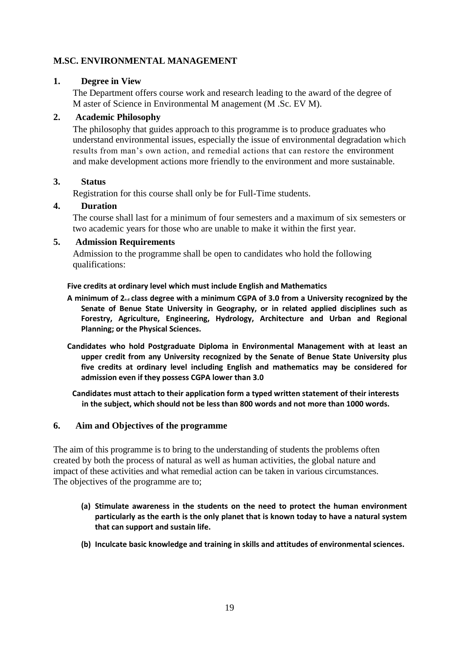## **M.SC. ENVIRONMENTAL MANAGEMENT**

## **1. Degree in View**

The Department offers course work and research leading to the award of the degree of M aster of Science in Environmental M anagement (M .Sc. EV M).

## **2. Academic Philosophy**

The philosophy that guides approach to this programme is to produce graduates who understand environmental issues, especially the issue of environmental degradation which results from man's own action, and remedial actions that can restore the environment and make development actions more friendly to the environment and more sustainable.

## **3. Status**

Registration for this course shall only be for Full-Time students.

## **4. Duration**

The course shall last for a minimum of four semesters and a maximum of six semesters or two academic years for those who are unable to make it within the first year.

## **5. Admission Requirements**

Admission to the programme shall be open to candidates who hold the following qualifications:

**Five credits at ordinary level which must include English and Mathematics**

- A minimum of 2<sup>nd</sup> class degree with a minimum CGPA of 3.0 from a University recognized by the **Senate of Benue State University in Geography, or in related applied disciplines such as Forestry, Agriculture, Engineering, Hydrology, Architecture and Urban and Regional Planning; or the Physical Sciences.**
- **Candidates who hold Postgraduate Diploma in Environmental Management with at least an upper credit from any University recognized by the Senate of Benue State University plus five credits at ordinary level including English and mathematics may be considered for admission even if they possess CGPA lower than 3.0**

**Candidates must attach to their application form a typed written statement of their interests in the subject, which should not be less than 800 words and not more than 1000 words.**

## **6. Aim and Objectives of the programme**

The aim of this programme is to bring to the understanding of students the problems often created by both the process of natural as well as human activities, the global nature and impact of these activities and what remedial action can be taken in various circumstances. The objectives of the programme are to;

- **(a) Stimulate awareness in the students on the need to protect the human environment particularly as the earth is the only planet that is known today to have a natural system that can support and sustain life.**
- **(b) Inculcate basic knowledge and training in skills and attitudes of environmental sciences.**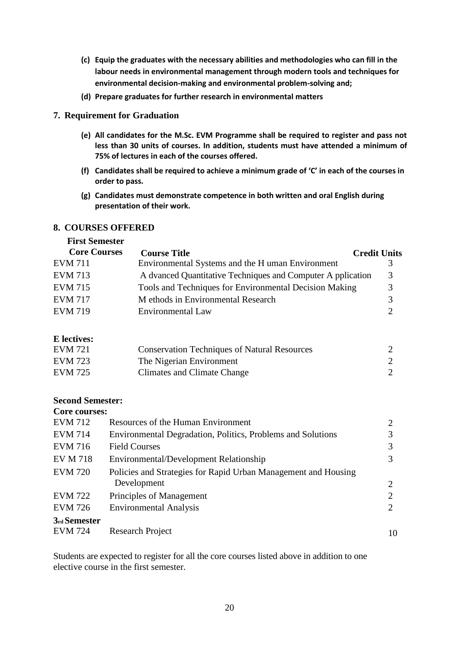- **(c) Equip the graduates with the necessary abilities and methodologies who can fill in the labour needs in environmental management through modern tools and techniques for environmental decision-making and environmental problem-solving and;**
- **(d) Prepare graduates for further research in environmental matters**

## **7. Requirement for Graduation**

- **(e) All candidates for the M.Sc. EVM Programme shall be required to register and pass not less than 30 units of courses. In addition, students must have attended a minimum of 75% of lectures in each of the courses offered.**
- **(f) Candidates shall be required to achieve a minimum grade of 'C' in each of the courses in order to pass.**
- **(g) Candidates must demonstrate competence in both written and oral English during presentation of their work.**

## **8. COURSES OFFERED**

# **First Semester**

| <b>Core Courses</b> | <b>Course Title</b>                                         | <b>Credit Units</b> |   |
|---------------------|-------------------------------------------------------------|---------------------|---|
| <b>EVM 711</b>      | Environmental Systems and the H uman Environment            |                     |   |
| <b>EVM 713</b>      | A dyanced Quantitative Techniques and Computer A pplication |                     | 3 |
| <b>EVM 715</b>      | Tools and Techniques for Environmental Decision Making      |                     | 3 |
| <b>EVM 717</b>      | M ethods in Environmental Research                          |                     | 3 |
| <b>EVM 719</b>      | <b>Environmental Law</b>                                    |                     | റ |

## **E lectives:**

| EVM 721 | <b>Conservation Techniques of Natural Resources</b> |  |
|---------|-----------------------------------------------------|--|
| EVM 723 | The Nigerian Environment                            |  |
| EVM 725 | Climates and Climate Change                         |  |

## **Second Semester:**

# **Core courses:** EVM 712 Resources of the Human Environment 2 EVM 714 Environmental Degradation, Politics, Problems and Solutions 3 EVM 716 Field Courses 3 EV M 718 Environmental/Development Relationship 3 EVM 720 Policies and Strategies for Rapid Urban Management and Housing Development 2 EVM 722 Principles of Management 2 EVM 726 Environmental Analysis 2 **3rd Semester** EVM 724 Research Project 10

Students are expected to register for all the core courses listed above in addition to one elective course in the first semester.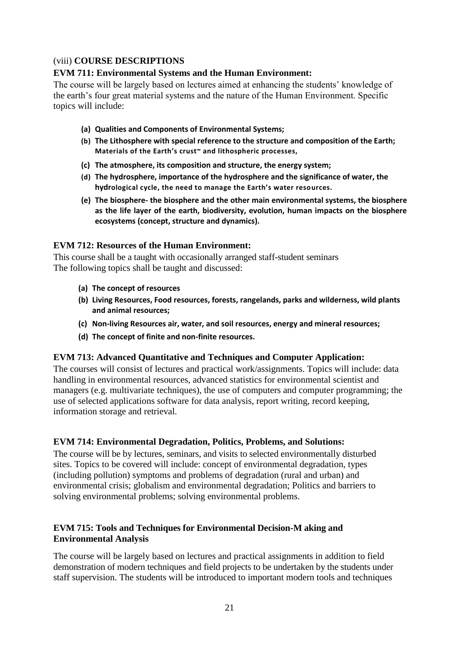## (viii) **COURSE DESCRIPTIONS**

## **EVM 711: Environmental Systems and the Human Environment:**

The course will be largely based on lectures aimed at enhancing the students' knowledge of the earth's four great material systems and the nature of the Human Environment. Specific topics will include:

- **(a) Qualities and Components of Environmental Systems;**
- **(b) The Lithosphere with special reference to the structure and composition of the Earth; Materials of the Earth's crust~ and lithospheric processes,**
- **(c) The atmosphere, its composition and structure, the energy system;**
- **(d) The hydrosphere, importance of the hydrosphere and the significance of water, the hydrological cycle, the need to manage the Earth's water resources.**
- **(e) The biosphere- the biosphere and the other main environmental systems, the biosphere as the life layer of the earth, biodiversity, evolution, human impacts on the biosphere ecosystems (concept, structure and dynamics).**

## **EVM 712: Resources of the Human Environment:**

This course shall be a taught with occasionally arranged staff-student seminars The following topics shall be taught and discussed:

- **(a) The concept of resources**
- **(b) Living Resources, Food resources, forests, rangelands, parks and wilderness, wild plants and animal resources;**
- **(c) Non-living Resources air, water, and soil resources, energy and mineral resources;**
- **(d) The concept of finite and non-finite resources.**

## **EVM 713: Advanced Quantitative and Techniques and Computer Application:**

The courses will consist of lectures and practical work/assignments. Topics will include: data handling in environmental resources, advanced statistics for environmental scientist and managers (e.g. multivariate techniques), the use of computers and computer programming; the use of selected applications software for data analysis, report writing, record keeping, information storage and retrieval.

## **EVM 714: Environmental Degradation, Politics, Problems, and Solutions:**

The course will be by lectures, seminars, and visits to selected environmentally disturbed sites. Topics to be covered will include: concept of environmental degradation, types (including pollution) symptoms and problems of degradation (rural and urban) and environmental crisis; globalism and environmental degradation; Politics and barriers to solving environmental problems; solving environmental problems.

## **EVM 715: Tools and Techniques for Environmental Decision-M aking and Environmental Analysis**

The course will be largely based on lectures and practical assignments in addition to field demonstration of modern techniques and field projects to be undertaken by the students under staff supervision. The students will be introduced to important modern tools and techniques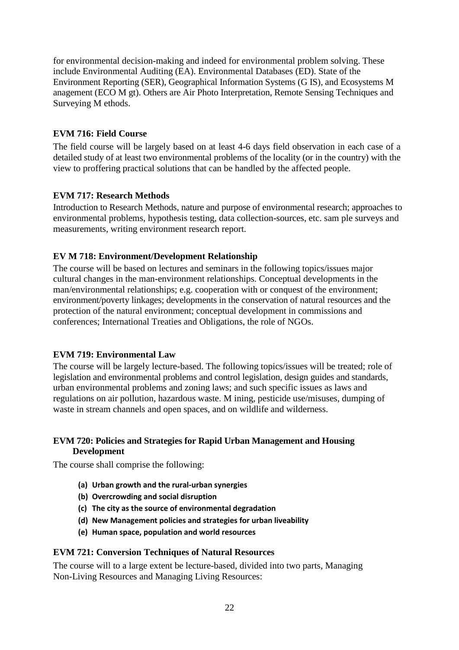for environmental decision-making and indeed for environmental problem solving. These include Environmental Auditing (EA). Environmental Databases (ED). State of the Environment Reporting (SER), Geographical Information Systems (G IS), and Ecosystems M anagement (ECO M gt). Others are Air Photo Interpretation, Remote Sensing Techniques and Surveying M ethods.

## **EVM 716: Field Course**

The field course will be largely based on at least 4-6 days field observation in each case of a detailed study of at least two environmental problems of the locality (or in the country) with the view to proffering practical solutions that can be handled by the affected people.

## **EVM 717: Research Methods**

Introduction to Research Methods, nature and purpose of environmental research; approaches to environmental problems, hypothesis testing, data collection-sources, etc. sam ple surveys and measurements, writing environment research report.

## **EV M 718: Environment/Development Relationship**

The course will be based on lectures and seminars in the following topics/issues major cultural changes in the man-environment relationships. Conceptual developments in the man/environmental relationships; e.g. cooperation with or conquest of the environment; environment/poverty linkages; developments in the conservation of natural resources and the protection of the natural environment; conceptual development in commissions and conferences; International Treaties and Obligations, the role of NGOs.

# **EVM 719: Environmental Law**

The course will be largely lecture-based. The following topics/issues will be treated; role of legislation and environmental problems and control legislation, design guides and standards, urban environmental problems and zoning laws; and such specific issues as laws and regulations on air pollution, hazardous waste. M ining, pesticide use/misuses, dumping of waste in stream channels and open spaces, and on wildlife and wilderness.

## **EVM 720: Policies and Strategies for Rapid Urban Management and Housing Development**

The course shall comprise the following:

- **(a) Urban growth and the rural-urban synergies**
- **(b) Overcrowding and social disruption**
- **(c) The city as the source of environmental degradation**
- **(d) New Management policies and strategies for urban liveability**
- **(e) Human space, population and world resources**

## **EVM 721: Conversion Techniques of Natural Resources**

The course will to a large extent be lecture-based, divided into two parts, Managing Non-Living Resources and Managing Living Resources: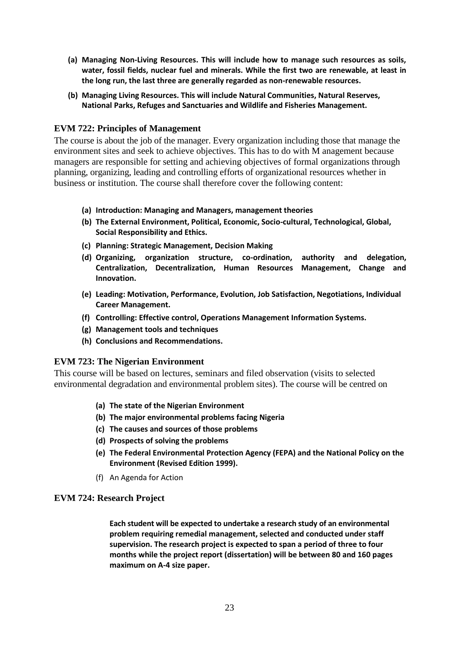- **(a) Managing Non-Living Resources. This will include how to manage such resources as soils, water, fossil fields, nuclear fuel and minerals. While the first two are renewable, at least in the long run, the last three are generally regarded as non-renewable resources.**
- **(b) Managing Living Resources. This will include Natural Communities, Natural Reserves, National Parks, Refuges and Sanctuaries and Wildlife and Fisheries Management.**

## **EVM 722: Principles of Management**

The course is about the job of the manager. Every organization including those that manage the environment sites and seek to achieve objectives. This has to do with M anagement because managers are responsible for setting and achieving objectives of formal organizations through planning, organizing, leading and controlling efforts of organizational resources whether in business or institution. The course shall therefore cover the following content:

- **(a) Introduction: Managing and Managers, management theories**
- **(b) The External Environment, Political, Economic, Socio-cultural, Technological, Global, Social Responsibility and Ethics.**
- **(c) Planning: Strategic Management, Decision Making**
- **(d) Organizing, organization structure, co-ordination, authority and delegation, Centralization, Decentralization, Human Resources Management, Change and Innovation.**
- **(e) Leading: Motivation, Performance, Evolution, Job Satisfaction, Negotiations, Individual Career Management.**
- **(f) Controlling: Effective control, Operations Management Information Systems.**
- **(g) Management tools and techniques**
- **(h) Conclusions and Recommendations.**

## **EVM 723: The Nigerian Environment**

This course will be based on lectures, seminars and filed observation (visits to selected environmental degradation and environmental problem sites). The course will be centred on

- **(a) The state of the Nigerian Environment**
- **(b) The major environmental problems facing Nigeria**
- **(c) The causes and sources of those problems**
- **(d) Prospects of solving the problems**
- **(e) The Federal Environmental Protection Agency (FEPA) and the National Policy on the Environment (Revised Edition 1999).**
- (f) An Agenda for Action

## **EVM 724: Research Project**

**Each student will be expected to undertake a research study of an environmental problem requiring remedial management, selected and conducted under staff supervision. The research project is expected to span a period of three to four months while the project report (dissertation) will be between 80 and 160 pages maximum on A-4 size paper.**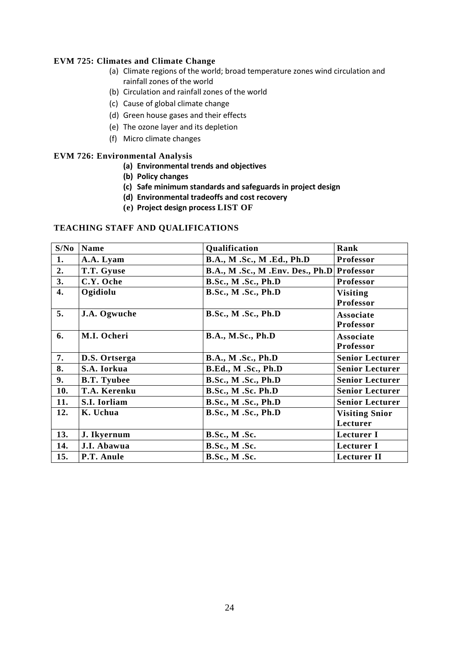### **EVM 725: Climates and Climate Change**

- (a) Climate regions of the world; broad temperature zones wind circulation and rainfall zones of the world
- (b) Circulation and rainfall zones of the world
- (c) Cause of global climate change
- (d) Green house gases and their effects
- (e) The ozone layer and its depletion
- (f) Micro climate changes

#### **EVM 726: Environmental Analysis**

- **(a) Environmental trends and objectives**
- **(b) Policy changes**
- **(c) Safe minimum standards and safeguards in project design**
- **(d) Environmental tradeoffs and cost recovery**
- **(e) Project design process LIST OF**

### **TEACHING STAFF AND QUALIFICATIONS**

| S/No | <b>Name</b>        | Qualification                              | Rank                   |
|------|--------------------|--------------------------------------------|------------------------|
| 1.   | A.A. Lyam          | B.A., M .Sc., M .Ed., Ph.D                 | Professor              |
| 2.   | T.T. Gyuse         | B.A., M .Sc., M .Env. Des., Ph.D Professor |                        |
| 3.   | C.Y. Oche          | <b>B.Sc., M .Sc., Ph.D</b>                 | Professor              |
| 4.   | Ogidiolu           | <b>B.Sc., M .Sc., Ph.D</b>                 | <b>Visiting</b>        |
|      |                    |                                            | <b>Professor</b>       |
| 5.   | J.A. Ogwuche       | <b>B.Sc., M.Sc., Ph.D</b>                  | Associate              |
|      |                    |                                            | Professor              |
| 6.   | M.I. Ocheri        | <b>B.A., M.Sc., Ph.D</b>                   | Associate              |
|      |                    |                                            | Professor              |
| 7.   | D.S. Ortserga      | <b>B.A., M .Sc., Ph.D</b>                  | <b>Senior Lecturer</b> |
| 8.   | S.A. Iorkua        | <b>B.Ed., M .Sc., Ph.D</b>                 | <b>Senior Lecturer</b> |
| 9.   | <b>B.T.</b> Tyubee | <b>B.Sc., M .Sc., Ph.D</b>                 | <b>Senior Lecturer</b> |
| 10.  | T.A. Kerenku       | <b>B.Sc., M .Sc. Ph.D</b>                  | <b>Senior Lecturer</b> |
| 11.  | S.I. Iorliam       | <b>B.Sc., M .Sc., Ph.D</b>                 | <b>Senior Lecturer</b> |
| 12.  | K. Uchua           | <b>B.Sc., M .Sc., Ph.D</b>                 | <b>Visiting Snior</b>  |
|      |                    |                                            | Lecturer               |
| 13.  | J. Ikyernum        | <b>B.Sc., M.Sc.</b>                        | <b>Lecturer I</b>      |
| 14.  | J.I. Abawua        | <b>B.Sc., M.Sc.</b>                        | <b>Lecturer I</b>      |
| 15.  | P.T. Anule         | <b>B.Sc., M.Sc.</b>                        | <b>Lecturer II</b>     |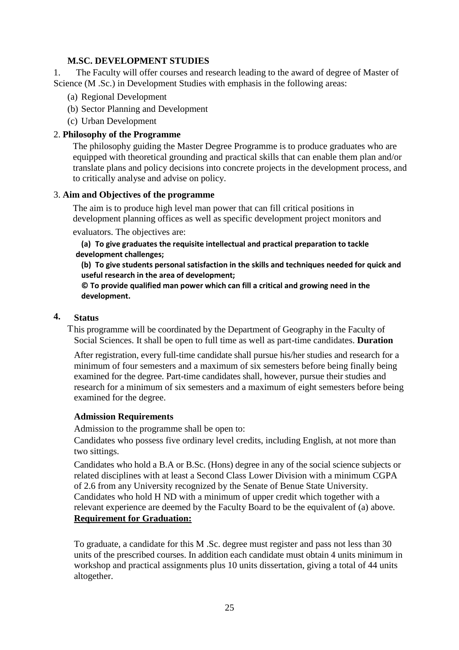## **M.SC. DEVELOPMENT STUDIES**

1. The Faculty will offer courses and research leading to the award of degree of Master of Science (M .Sc.) in Development Studies with emphasis in the following areas:

- (a) Regional Development
- (b) Sector Planning and Development
- (c) Urban Development

## 2. **Philosophy of the Programme**

The philosophy guiding the Master Degree Programme is to produce graduates who are equipped with theoretical grounding and practical skills that can enable them plan and/or translate plans and policy decisions into concrete projects in the development process, and to critically analyse and advise on policy.

## 3. **Aim and Objectives of the programme**

The aim is to produce high level man power that can fill critical positions in development planning offices as well as specific development project monitors and

evaluators. The objectives are:

**(a) To give graduates the requisite intellectual and practical preparation to tackle development challenges;**

## **(b) To give students personal satisfaction in the skills and techniques needed for quick and useful research in the area of development;**

**© To provide qualified man power which can fill a critical and growing need in the development.**

#### **Status 4.**

This programme will be coordinated by the Department of Geography in the Faculty of Social Sciences. It shall be open to full time as well as part-time candidates. **Duration**

After registration, every full-time candidate shall pursue his/her studies and research for a minimum of four semesters and a maximum of six semesters before being finally being examined for the degree. Part-time candidates shall, however, pursue their studies and research for a minimum of six semesters and a maximum of eight semesters before being examined for the degree.

## **Admission Requirements**

Admission to the programme shall be open to:

Candidates who possess five ordinary level credits, including English, at not more than two sittings.

Candidates who hold a B.A or B.Sc. (Hons) degree in any of the social science subjects or related disciplines with at least a Second Class Lower Division with a minimum CGPA of 2.6 from any University recognized by the Senate of Benue State University. Candidates who hold H ND with a minimum of upper credit which together with a relevant experience are deemed by the Faculty Board to be the equivalent of (a) above. **Requirement for Graduation:**

To graduate, a candidate for this M .Sc. degree must register and pass not less than 30 units of the prescribed courses. In addition each candidate must obtain 4 units minimum in workshop and practical assignments plus 10 units dissertation, giving a total of 44 units altogether.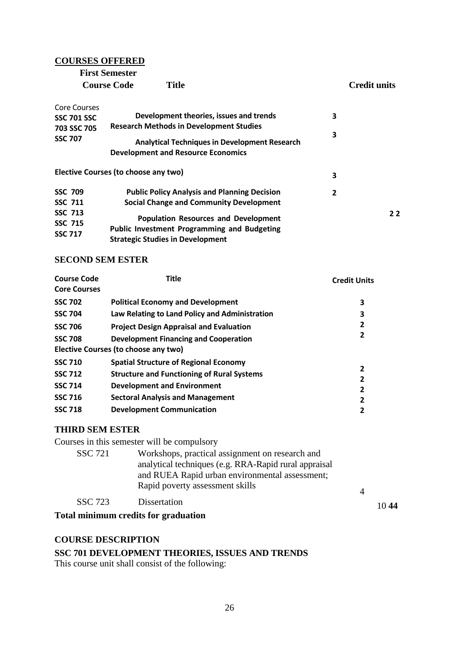## **COURSES OFFERED**

|                                                                            | <b>First Semester</b>                |                                                                                                                                                                                                |              |                     |
|----------------------------------------------------------------------------|--------------------------------------|------------------------------------------------------------------------------------------------------------------------------------------------------------------------------------------------|--------------|---------------------|
|                                                                            | <b>Course Code</b>                   | <b>Title</b>                                                                                                                                                                                   |              | <b>Credit units</b> |
| <b>Core Courses</b><br><b>SSC 701 SSC</b><br>703 SSC 705<br><b>SSC 707</b> |                                      | Development theories, issues and trends<br><b>Research Methods in Development Studies</b><br><b>Analytical Techniques in Development Research</b><br><b>Development and Resource Economics</b> | 3<br>3       |                     |
|                                                                            | Elective Courses (to choose any two) |                                                                                                                                                                                                | 3            |                     |
| <b>SSC 709</b><br><b>SSC 711</b>                                           |                                      | <b>Public Policy Analysis and Planning Decision</b><br><b>Social Change and Community Development</b>                                                                                          | $\mathbf{2}$ |                     |
| <b>SSC 713</b><br><b>SSC 715</b><br><b>SSC 717</b>                         |                                      | <b>Population Resources and Development</b><br><b>Public Investment Programming and Budgeting</b><br><b>Strategic Studies in Development</b>                                                   |              | 22                  |

## **SECOND SEM ESTER**

| <b>Course Code</b><br><b>Core Courses</b> | <b>Title</b>                                      | <b>Credit Units</b> |
|-------------------------------------------|---------------------------------------------------|---------------------|
| <b>SSC 702</b>                            | <b>Political Economy and Development</b>          | 3                   |
| <b>SSC 704</b>                            | Law Relating to Land Policy and Administration    | 3                   |
| <b>SSC 706</b>                            | <b>Project Design Appraisal and Evaluation</b>    | 2                   |
| <b>SSC 708</b>                            | <b>Development Financing and Cooperation</b>      | 2                   |
|                                           | <b>Elective Courses (to choose any two)</b>       |                     |
| <b>SSC 710</b>                            | <b>Spatial Structure of Regional Economy</b>      |                     |
| <b>SSC 712</b>                            | <b>Structure and Functioning of Rural Systems</b> | 2                   |
| <b>SSC 714</b>                            | <b>Development and Environment</b>                | 2<br>$\overline{2}$ |
| <b>SSC 716</b>                            | <b>Sectoral Analysis and Management</b>           | 2                   |
| <b>SSC 718</b>                            | <b>Development Communication</b>                  | 2                   |

## **THIRD SEM ESTER**

Courses in this semester will be compulsory

| Workshops, practical assignment on research and       |          |
|-------------------------------------------------------|----------|
| analytical techniques (e.g. RRA-Rapid rural appraisal |          |
| and RUEA Rapid urban environmental assessment;        |          |
| Rapid poverty assessment skills                       |          |
| Dissertation                                          | 1044     |
|                                                       | $\Delta$ |

# **Total minimum credits for graduation**

## **COURSE DESCRIPTION**

## **SSC 701 DEVELOPMENT THEORIES, ISSUES AND TRENDS**

This course unit shall consist of the following: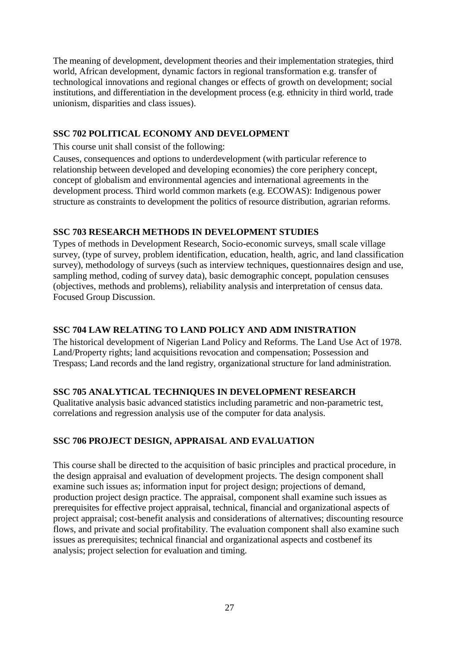The meaning of development, development theories and their implementation strategies, third world, African development, dynamic factors in regional transformation e.g. transfer of technological innovations and regional changes or effects of growth on development; social institutions, and differentiation in the development process (e.g. ethnicity in third world, trade unionism, disparities and class issues).

## **SSC 702 POLITICAL ECONOMY AND DEVELOPMENT**

This course unit shall consist of the following:

Causes, consequences and options to underdevelopment (with particular reference to relationship between developed and developing economies) the core periphery concept, concept of globalism and environmental agencies and international agreements in the development process. Third world common markets (e.g. ECOWAS): Indigenous power structure as constraints to development the politics of resource distribution, agrarian reforms.

## **SSC 703 RESEARCH METHODS IN DEVELOPMENT STUDIES**

Types of methods in Development Research, Socio-economic surveys, small scale village survey, (type of survey, problem identification, education, health, agric, and land classification survey), methodology of surveys (such as interview techniques, questionnaires design and use, sampling method, coding of survey data), basic demographic concept, population censuses (objectives, methods and problems), reliability analysis and interpretation of census data. Focused Group Discussion.

## **SSC 704 LAW RELATING TO LAND POLICY AND ADM INISTRATION**

The historical development of Nigerian Land Policy and Reforms. The Land Use Act of 1978. Land/Property rights; land acquisitions revocation and compensation; Possession and Trespass; Land records and the land registry, organizational structure for land administration.

## **SSC 705 ANALYTICAL TECHNIQUES IN DEVELOPMENT RESEARCH**

Qualitative analysis basic advanced statistics including parametric and non-parametric test, correlations and regression analysis use of the computer for data analysis.

# **SSC 706 PROJECT DESIGN, APPRAISAL AND EVALUATION**

This course shall be directed to the acquisition of basic principles and practical procedure, in the design appraisal and evaluation of development projects. The design component shall examine such issues as; information input for project design; projections of demand, production project design practice. The appraisal, component shall examine such issues as prerequisites for effective project appraisal, technical, financial and organizational aspects of project appraisal; cost-benefit analysis and considerations of alternatives; discounting resource flows, and private and social profitability. The evaluation component shall also examine such issues as prerequisites; technical financial and organizational aspects and costbenef its analysis; project selection for evaluation and timing.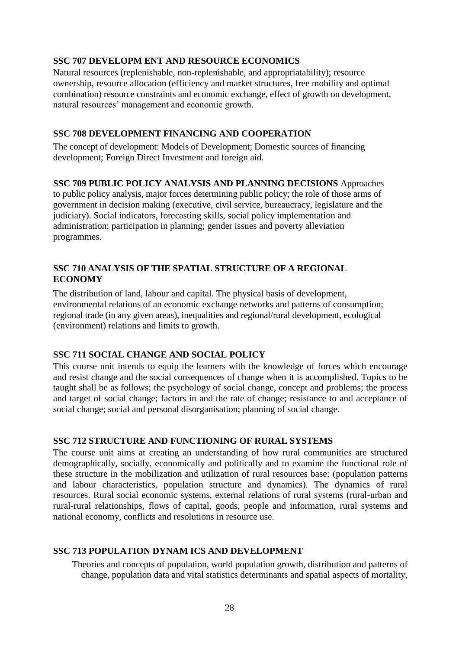## **SSC 707 DEVELOPM ENT AND RESOURCE ECONOMICS**

Natural resources (replenishable, non-replenishable, and appropriatability); resource ownership, resource allocation (efficiency and market structures, free mobility and optimal combination) resource constraints and economic exchange, effect of growth on development, natural resources' management and economic growth.

## **SSC 708 DEVELOPMENT FINANCING AND COOPERATION**

The concept of development: Models of Development; Domestic sources of financing development; Foreign Direct Investment and foreign aid.

## **SSC 709 PUBLIC POLICY ANALYSIS AND PLANNING DECISIONS** Approaches

to public policy analysis, major forces determining public policy; the role of those arms of government in decision making (executive, civil service, bureaucracy, legislature and the judiciary). Social indicators, forecasting skills, social policy implementation and administration; participation in planning; gender issues and poverty alleviation programmes.

## **SSC 710 ANALYSIS OF THE SPATIAL STRUCTURE OF A REGIONAL ECONOMY**

The distribution of land, labour and capital. The physical basis of development, environmental relations of an economic exchange networks and patterns of consumption; regional trade (in any given areas), inequalities and regional/rural development, ecological (environment) relations and limits to growth.

## **SSC 711 SOCIAL CHANGE AND SOCIAL POLICY**

This course unit intends to equip the learners with the knowledge of forces which encourage and resist change and the social consequences of change when it is accomplished. Topics to be taught shall be as follows; the psychology of social change, concept and problems; the process and target of social change; factors in and the rate of change; resistance to and acceptance of social change; social and personal disorganisation; planning of social change.

## **SSC 712 STRUCTURE AND FUNCTIONING OF RURAL SYSTEMS**

The course unit aims at creating an understanding of how rural communities are structured demographically, socially, economically and politically and to examine the functional role of these structure in the mobilization and utilization of rural resources base; (population patterns and labour characteristics, population structure and dynamics). The dynamics of rural resources. Rural social economic systems, external relations of rural systems (rural-urban and rural-rural relationships, flows of capital, goods, people and information, rural systems and national economy, conflicts and resolutions in resource use.

## **SSC 713 POPULATION DYNAM ICS AND DEVELOPMENT**

Theories and concepts of population, world population growth, distribution and patterns of change, population data and vital statistics determinants and spatial aspects of mortality,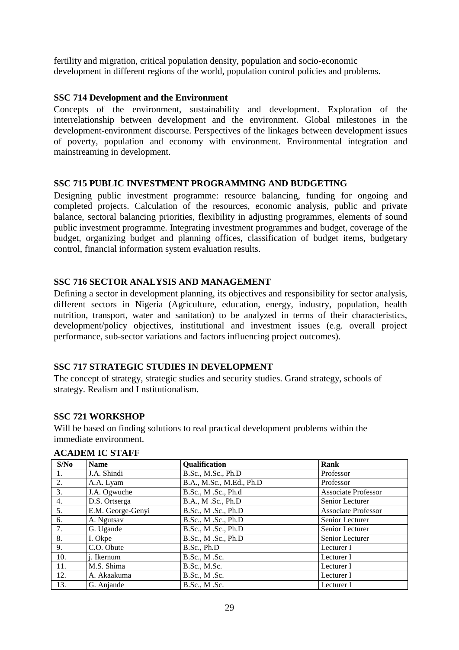fertility and migration, critical population density, population and socio-economic development in different regions of the world, population control policies and problems.

## **SSC 714 Development and the Environment**

Concepts of the environment, sustainability and development. Exploration of the interrelationship between development and the environment. Global milestones in the development-environment discourse. Perspectives of the linkages between development issues of poverty, population and economy with environment. Environmental integration and mainstreaming in development.

## **SSC 715 PUBLIC INVESTMENT PROGRAMMING AND BUDGETING**

Designing public investment programme: resource balancing, funding for ongoing and completed projects. Calculation of the resources, economic analysis, public and private balance, sectoral balancing priorities, flexibility in adjusting programmes, elements of sound public investment programme. Integrating investment programmes and budget, coverage of the budget, organizing budget and planning offices, classification of budget items, budgetary control, financial information system evaluation results.

## **SSC 716 SECTOR ANALYSIS AND MANAGEMENT**

Defining a sector in development planning, its objectives and responsibility for sector analysis, different sectors in Nigeria (Agriculture, education, energy, industry, population, health nutrition, transport, water and sanitation) to be analyzed in terms of their characteristics, development/policy objectives, institutional and investment issues (e.g. overall project performance, sub-sector variations and factors influencing project outcomes).

## **SSC 717 STRATEGIC STUDIES IN DEVELOPMENT**

The concept of strategy, strategic studies and security studies. Grand strategy, schools of strategy. Realism and I nstitutionalism.

## **SSC 721 WORKSHOP**

Will be based on finding solutions to real practical development problems within the immediate environment.

| S/No             | <b>Name</b>        | <b>Qualification</b>     | Rank                       |
|------------------|--------------------|--------------------------|----------------------------|
| 1.               | J.A. Shindi        | B.Sc., M.Sc., Ph.D       | Professor                  |
| 2.               | A.A. Lyam          | B.A., M.Sc., M.Ed., Ph.D | Professor                  |
| 3.               | J.A. Ogwuche       | B.Sc., M.Sc., Ph.d       | <b>Associate Professor</b> |
| $\overline{4}$ . | D.S. Ortserga      | B.A., M.Sc., Ph.D        | Senior Lecturer            |
| 5.               | E.M. George-Genyi  | B.Sc., M.Sc., Ph.D       | <b>Associate Professor</b> |
| 6.               | A. Ngutsay         | B.Sc., M.Sc., Ph.D       | Senior Lecturer            |
| 7.               | G. Ugande          | B.Sc., M.Sc., Ph.D       | Senior Lecturer            |
| 8.               | I. Okpe            | B.Sc., M.Sc., Ph.D       | Senior Lecturer            |
| 9.               | C.O. Obute         | B.Sc., Ph.D              | Lecturer I                 |
| 10.              | <i>i</i> . Ikernum | B.Sc., M.Sc.             | Lecturer I                 |
| 11.              | M.S. Shima         | B.Sc., M.Sc.             | Lecturer I                 |
| 12.              | A. Akaakuma        | B.Sc., M.Sc.             | Lecturer I                 |
| 13.              | G. Anjande         | B.Sc., M.Sc.             | Lecturer I                 |

### **ACADEM IC STAFF**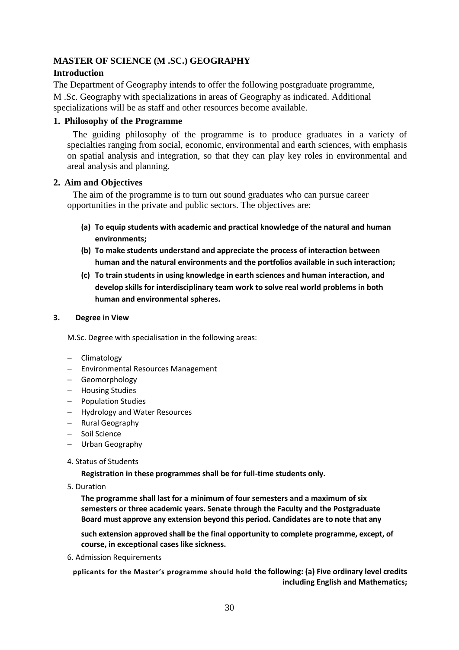## **MASTER OF SCIENCE (M .SC.) GEOGRAPHY**

## **Introduction**

The Department of Geography intends to offer the following postgraduate programme, M .Sc. Geography with specializations in areas of Geography as indicated. Additional specializations will be as staff and other resources become available.

## **1. Philosophy of the Programme**

The guiding philosophy of the programme is to produce graduates in a variety of specialties ranging from social, economic, environmental and earth sciences, with emphasis on spatial analysis and integration, so that they can play key roles in environmental and areal analysis and planning.

## **2. Aim and Objectives**

The aim of the programme is to turn out sound graduates who can pursue career opportunities in the private and public sectors. The objectives are:

- **(a) To equip students with academic and practical knowledge of the natural and human environments;**
- **(b) To make students understand and appreciate the process of interaction between human and the natural environments and the portfolios available in such interaction;**
- **(c) To train students in using knowledge in earth sciences and human interaction, and develop skills for interdisciplinary team work to solve real world problems in both human and environmental spheres.**

## **3. Degree in View**

M.Sc. Degree with specialisation in the following areas:

- Climatology
- Environmental Resources Management
- Geomorphology
- Housing Studies
- Population Studies
- Hydrology and Water Resources
- Rural Geography
- Soil Science
- Urban Geography
- 4. Status of Students

**Registration in these programmes shall be for full-time students only.**

5. Duration

**The programme shall last for a minimum of four semesters and a maximum of six semesters or three academic years. Senate through the Faculty and the Postgraduate Board must approve any extension beyond this period. Candidates are to note that any**

**such extension approved shall be the final opportunity to complete programme, except, of course, in exceptional cases like sickness.**

6. Admission Requirements

**pplicants for the Master's programme should hold the following: (a) Five ordinary level credits including English and Mathematics;**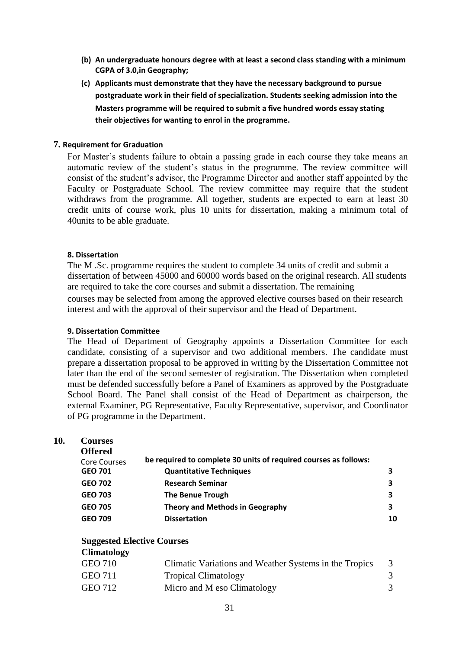- **(b) An undergraduate honours degree with at least a second class standing with a minimum CGPA of 3.0,in Geography;**
- **(c) Applicants must demonstrate that they have the necessary background to pursue postgraduate work in their field of specialization. Students seeking admission into the Masters programme will be required to submit a five hundred words essay stating their objectives for wanting to enrol in the programme.**

### **7. Requirement for Graduation**

For Master's students failure to obtain a passing grade in each course they take means an automatic review of the student's status in the programme. The review committee will consist of the student's advisor, the Programme Director and another staff appointed by the Faculty or Postgraduate School. The review committee may require that the student withdraws from the programme. All together, students are expected to earn at least 30 credit units of course work, plus 10 units for dissertation, making a minimum total of 40units to be able graduate.

### **8. Dissertation**

The M .Sc. programme requires the student to complete 34 units of credit and submit a dissertation of between 45000 and 60000 words based on the original research. All students are required to take the core courses and submit a dissertation. The remaining courses may be selected from among the approved elective courses based on their research interest and with the approval of their supervisor and the Head of Department.

### **9. Dissertation Committee**

The Head of Department of Geography appoints a Dissertation Committee for each candidate, consisting of a supervisor and two additional members. The candidate must prepare a dissertation proposal to be approved in writing by the Dissertation Committee not later than the end of the second semester of registration. The Dissertation when completed must be defended successfully before a Panel of Examiners as approved by the Postgraduate School Board. The Panel shall consist of the Head of Department as chairperson, the external Examiner, PG Representative, Faculty Representative, supervisor, and Coordinator of PG programme in the Department.

# **10. Courses**

| <b>Offered</b> |                                                                  |    |
|----------------|------------------------------------------------------------------|----|
| Core Courses   | be required to complete 30 units of required courses as follows: |    |
| <b>GEO 701</b> | <b>Quantitative Techniques</b>                                   |    |
| <b>GEO 702</b> | <b>Research Seminar</b>                                          | з  |
| <b>GEO 703</b> | <b>The Benue Trough</b>                                          |    |
| <b>GEO 705</b> | <b>Theory and Methods in Geography</b>                           |    |
| <b>GEO 709</b> | <b>Dissertation</b>                                              | 10 |
|                |                                                                  |    |

### **Suggested Elective Courses**

| <b>Climatology</b> |                                                        |  |
|--------------------|--------------------------------------------------------|--|
| GEO 710            | Climatic Variations and Weather Systems in the Tropics |  |
| GEO 711            | <b>Tropical Climatology</b>                            |  |
| GEO 712            | Micro and M eso Climatology                            |  |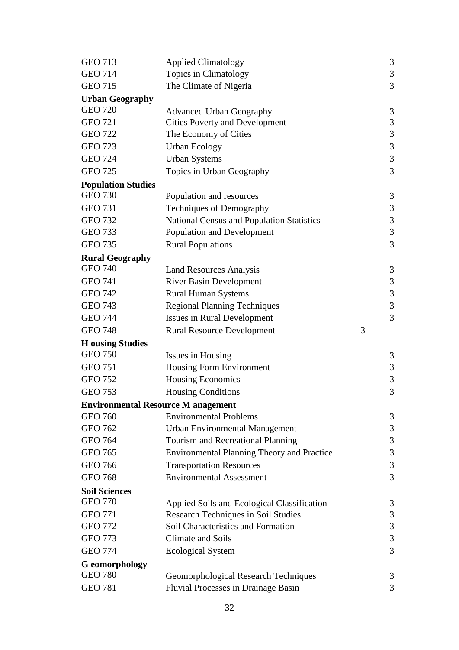| <b>GEO 713</b>                            | <b>Applied Climatology</b>                        |   | 3 |
|-------------------------------------------|---------------------------------------------------|---|---|
| <b>GEO 714</b>                            | Topics in Climatology                             |   | 3 |
| <b>GEO 715</b>                            | The Climate of Nigeria                            |   | 3 |
| <b>Urban Geography</b>                    |                                                   |   |   |
| <b>GEO 720</b>                            | <b>Advanced Urban Geography</b>                   |   | 3 |
| <b>GEO 721</b>                            | <b>Cities Poverty and Development</b>             |   | 3 |
| <b>GEO 722</b>                            | The Economy of Cities                             |   | 3 |
| <b>GEO 723</b>                            | <b>Urban Ecology</b>                              |   | 3 |
| <b>GEO 724</b>                            | <b>Urban Systems</b>                              |   | 3 |
| <b>GEO 725</b>                            | Topics in Urban Geography                         |   | 3 |
| <b>Population Studies</b>                 |                                                   |   |   |
| <b>GEO 730</b>                            | Population and resources                          |   | 3 |
| <b>GEO 731</b>                            | <b>Techniques of Demography</b>                   |   | 3 |
| <b>GEO 732</b>                            | <b>National Census and Population Statistics</b>  |   | 3 |
| <b>GEO 733</b>                            | Population and Development                        |   | 3 |
| <b>GEO 735</b>                            | <b>Rural Populations</b>                          |   | 3 |
| <b>Rural Geography</b>                    |                                                   |   |   |
| <b>GEO 740</b>                            | <b>Land Resources Analysis</b>                    |   | 3 |
| <b>GEO 741</b>                            | <b>River Basin Development</b>                    |   | 3 |
| <b>GEO 742</b>                            | <b>Rural Human Systems</b>                        |   | 3 |
| <b>GEO 743</b>                            | <b>Regional Planning Techniques</b>               |   | 3 |
| <b>GEO 744</b>                            | <b>Issues in Rural Development</b>                |   | 3 |
| <b>GEO 748</b>                            | <b>Rural Resource Development</b>                 | 3 |   |
| <b>H</b> ousing Studies                   |                                                   |   |   |
| <b>GEO 750</b>                            | Issues in Housing                                 |   | 3 |
| <b>GEO 751</b>                            | <b>Housing Form Environment</b>                   |   | 3 |
| <b>GEO 752</b>                            | <b>Housing Economics</b>                          |   | 3 |
| <b>GEO 753</b>                            | <b>Housing Conditions</b>                         |   | 3 |
| <b>Environmental Resource M anagement</b> |                                                   |   |   |
| <b>GEO 760</b>                            | <b>Environmental Problems</b>                     |   | 3 |
| GEO 762                                   | <b>Urban Environmental Management</b>             |   | 3 |
| <b>GEO 764</b>                            | Tourism and Recreational Planning                 |   | 3 |
| <b>GEO 765</b>                            | <b>Environmental Planning Theory and Practice</b> |   | 3 |
| <b>GEO 766</b>                            | <b>Transportation Resources</b>                   |   | 3 |
| <b>GEO 768</b>                            | <b>Environmental Assessment</b>                   |   | 3 |
| <b>Soil Sciences</b>                      |                                                   |   |   |
| <b>GEO 770</b>                            | Applied Soils and Ecological Classification       |   | 3 |
| <b>GEO 771</b>                            | Research Techniques in Soil Studies               |   | 3 |
| <b>GEO 772</b>                            | Soil Characteristics and Formation                |   | 3 |
| GEO 773                                   | <b>Climate and Soils</b>                          |   | 3 |
| <b>GEO 774</b>                            | <b>Ecological System</b>                          |   | 3 |
| <b>G</b> eomorphology                     |                                                   |   |   |
| <b>GEO 780</b>                            | Geomorphological Research Techniques              |   | 3 |
| <b>GEO 781</b>                            | <b>Fluvial Processes in Drainage Basin</b>        |   | 3 |
|                                           |                                                   |   |   |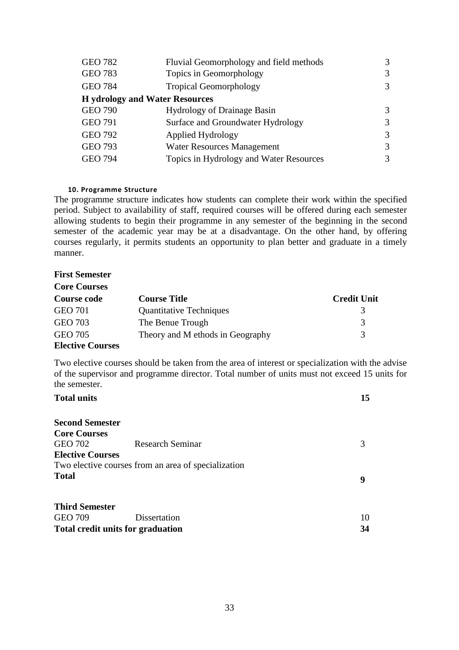| <b>GEO 782</b> | Fluvial Geomorphology and field methods |  |
|----------------|-----------------------------------------|--|
| <b>GEO 783</b> | Topics in Geomorphology                 |  |
| <b>GEO 784</b> | <b>Tropical Geomorphology</b>           |  |
|                | <b>H</b> ydrology and Water Resources   |  |
| <b>GEO 790</b> | <b>Hydrology of Drainage Basin</b>      |  |
| <b>GEO 791</b> | Surface and Groundwater Hydrology       |  |
| <b>GEO 792</b> | Applied Hydrology                       |  |
| <b>GEO 793</b> | Water Resources Management              |  |
| <b>GEO 794</b> | Topics in Hydrology and Water Resources |  |
|                |                                         |  |

### **10. Programme Structure**

The programme structure indicates how students can complete their work within the specified period. Subject to availability of staff, required courses will be offered during each semester allowing students to begin their programme in any semester of the beginning in the second semester of the academic year may be at a disadvantage. On the other hand, by offering courses regularly, it permits students an opportunity to plan better and graduate in a timely manner.

| <b>First Semester</b>   |                                  |                    |  |
|-------------------------|----------------------------------|--------------------|--|
| <b>Core Courses</b>     |                                  |                    |  |
| <b>Course code</b>      | <b>Course Title</b>              | <b>Credit Unit</b> |  |
| <b>GEO 701</b>          | <b>Quantitative Techniques</b>   |                    |  |
| <b>GEO 703</b>          | The Benue Trough                 | 3                  |  |
| <b>GEO 705</b>          | Theory and M ethods in Geography | 3                  |  |
| <b>Elective Courses</b> |                                  |                    |  |

Two elective courses should be taken from the area of interest or specialization with the advise of the supervisor and programme director. Total number of units must not exceed 15 units for the semester.

| <b>Total units</b>      |                                                     | 15 |
|-------------------------|-----------------------------------------------------|----|
| <b>Second Semester</b>  |                                                     |    |
| <b>Core Courses</b>     |                                                     |    |
| <b>GEO 702</b>          | <b>Research Seminar</b>                             |    |
| <b>Elective Courses</b> |                                                     |    |
|                         | Two elective courses from an area of specialization |    |
| <b>Total</b>            |                                                     | 9  |
| <b>Third Semester</b>   |                                                     |    |
| <b>GEO 709</b>          | Dissertation                                        | 10 |
|                         | Total credit units for graduation                   | 34 |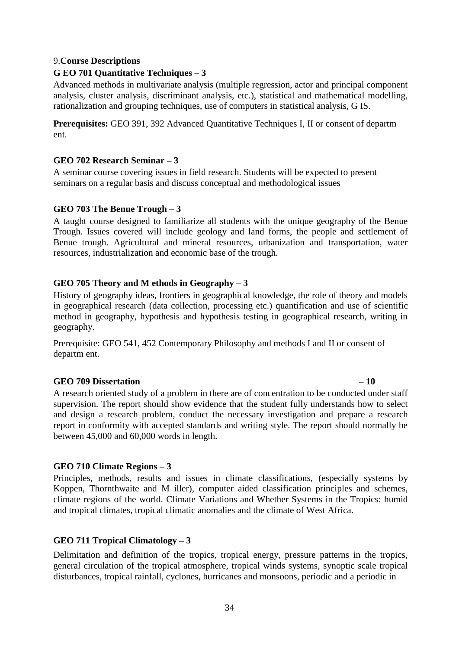## 9.**Course Descriptions**

## **G EO 701 Quantitative Techniques – 3**

Advanced methods in multivariate analysis (multiple regression, actor and principal component analysis, cluster analysis, discriminant analysis, etc.), statistical and mathematical modelling, rationalization and grouping techniques, use of computers in statistical analysis, G IS.

**Prerequisites:** GEO 391, 392 Advanced Quantitative Techniques I, II or consent of departm ent.

### **GEO 702 Research Seminar – 3**

A seminar course covering issues in field research. Students will be expected to present seminars on a regular basis and discuss conceptual and methodological issues

## **GEO 703 The Benue Trough – 3**

A taught course designed to familiarize all students with the unique geography of the Benue Trough. Issues covered will include geology and land forms, the people and settlement of Benue trough. Agricultural and mineral resources, urbanization and transportation, water resources, industrialization and economic base of the trough.

## **GEO 705 Theory and M ethods in Geography – 3**

History of geography ideas, frontiers in geographical knowledge, the role of theory and models in geographical research (data collection, processing etc.) quantification and use of scientific method in geography, hypothesis and hypothesis testing in geographical research, writing in geography.

Prerequisite: GEO 541, 452 Contemporary Philosophy and methods I and II or consent of departm ent.

### **GEO 709 Dissertation – 10**

A research oriented study of a problem in there are of concentration to be conducted under staff supervision. The report should show evidence that the student fully understands how to select and design a research problem, conduct the necessary investigation and prepare a research report in conformity with accepted standards and writing style. The report should normally be between 45,000 and 60,000 words in length.

## **GEO 710 Climate Regions – 3**

Principles, methods, results and issues in climate classifications, (especially systems by Koppen, Thornthwaite and M iller), computer aided classification principles and schemes, climate regions of the world. Climate Variations and Whether Systems in the Tropics: humid and tropical climates, tropical climatic anomalies and the climate of West Africa.

## **GEO 711 Tropical Climatology – 3**

Delimitation and definition of the tropics, tropical energy, pressure patterns in the tropics, general circulation of the tropical atmosphere, tropical winds systems, synoptic scale tropical disturbances, tropical rainfall, cyclones, hurricanes and monsoons, periodic and a periodic in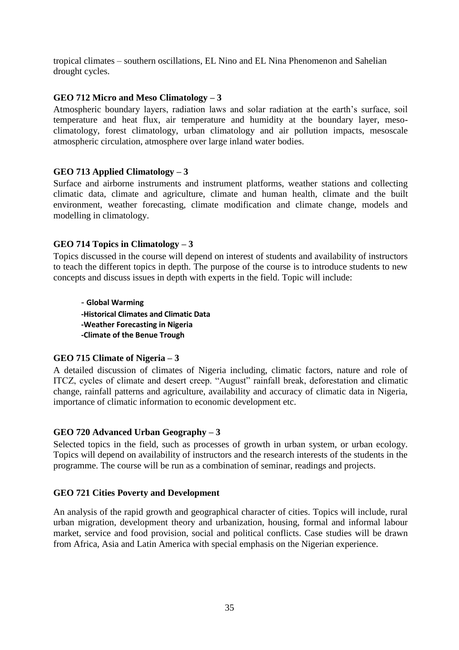tropical climates – southern oscillations, EL Nino and EL Nina Phenomenon and Sahelian drought cycles.

## **GEO 712 Micro and Meso Climatology – 3**

Atmospheric boundary layers, radiation laws and solar radiation at the earth's surface, soil temperature and heat flux, air temperature and humidity at the boundary layer, mesoclimatology, forest climatology, urban climatology and air pollution impacts, mesoscale atmospheric circulation, atmosphere over large inland water bodies.

## **GEO 713 Applied Climatology – 3**

Surface and airborne instruments and instrument platforms, weather stations and collecting climatic data, climate and agriculture, climate and human health, climate and the built environment, weather forecasting, climate modification and climate change, models and modelling in climatology.

## **GEO 714 Topics in Climatology – 3**

Topics discussed in the course will depend on interest of students and availability of instructors to teach the different topics in depth. The purpose of the course is to introduce students to new concepts and discuss issues in depth with experts in the field. Topic will include:

- **Global Warming -Historical Climates and Climatic Data -Weather Forecasting in Nigeria -Climate of the Benue Trough**

## **GEO 715 Climate of Nigeria – 3**

A detailed discussion of climates of Nigeria including, climatic factors, nature and role of ITCZ, cycles of climate and desert creep. "August" rainfall break, deforestation and climatic change, rainfall patterns and agriculture, availability and accuracy of climatic data in Nigeria, importance of climatic information to economic development etc.

## **GEO 720 Advanced Urban Geography – 3**

Selected topics in the field, such as processes of growth in urban system, or urban ecology. Topics will depend on availability of instructors and the research interests of the students in the programme. The course will be run as a combination of seminar, readings and projects.

## **GEO 721 Cities Poverty and Development**

An analysis of the rapid growth and geographical character of cities. Topics will include, rural urban migration, development theory and urbanization, housing, formal and informal labour market, service and food provision, social and political conflicts. Case studies will be drawn from Africa, Asia and Latin America with special emphasis on the Nigerian experience.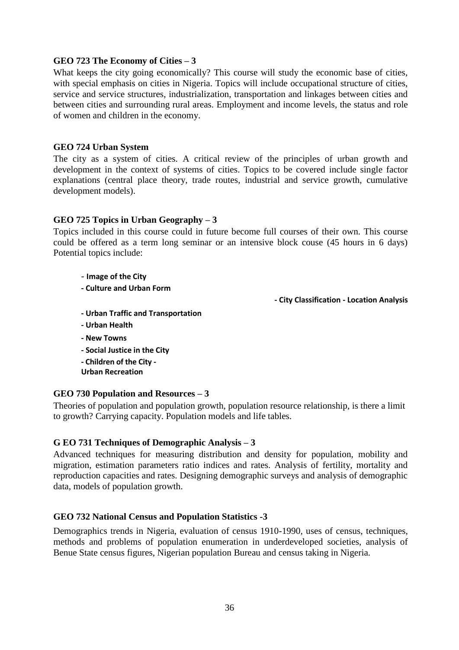## **GEO 723 The Economy of Cities – 3**

What keeps the city going economically? This course will study the economic base of cities, with special emphasis on cities in Nigeria. Topics will include occupational structure of cities, service and service structures, industrialization, transportation and linkages between cities and between cities and surrounding rural areas. Employment and income levels, the status and role of women and children in the economy.

## **GEO 724 Urban System**

The city as a system of cities. A critical review of the principles of urban growth and development in the context of systems of cities. Topics to be covered include single factor explanations (central place theory, trade routes, industrial and service growth, cumulative development models).

## **GEO 725 Topics in Urban Geography – 3**

Topics included in this course could in future become full courses of their own. This course could be offered as a term long seminar or an intensive block couse (45 hours in 6 days) Potential topics include:

- **Image of the City**
- **- Culture and Urban Form**

**- City Classification - Location Analysis**

- **- Urban Traffic and Transportation**
- **- Urban Health**
- **- New Towns**
- **- Social Justice in the City**
- **- Children of the City -**
- **Urban Recreation**

## **GEO 730 Population and Resources – 3**

Theories of population and population growth, population resource relationship, is there a limit to growth? Carrying capacity. Population models and life tables.

## **G EO 731 Techniques of Demographic Analysis – 3**

Advanced techniques for measuring distribution and density for population, mobility and migration, estimation parameters ratio indices and rates. Analysis of fertility, mortality and reproduction capacities and rates. Designing demographic surveys and analysis of demographic data, models of population growth.

## **GEO 732 National Census and Population Statistics -3**

Demographics trends in Nigeria, evaluation of census 1910-1990, uses of census, techniques, methods and problems of population enumeration in underdeveloped societies, analysis of Benue State census figures, Nigerian population Bureau and census taking in Nigeria.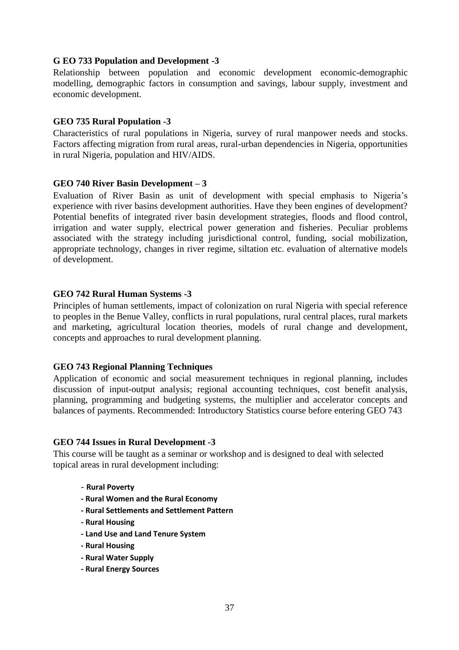## **G EO 733 Population and Development -3**

Relationship between population and economic development economic-demographic modelling, demographic factors in consumption and savings, labour supply, investment and economic development.

## **GEO 735 Rural Population -3**

Characteristics of rural populations in Nigeria, survey of rural manpower needs and stocks. Factors affecting migration from rural areas, rural-urban dependencies in Nigeria, opportunities in rural Nigeria, population and HIV/AIDS.

## **GEO 740 River Basin Development – 3**

Evaluation of River Basin as unit of development with special emphasis to Nigeria's experience with river basins development authorities. Have they been engines of development? Potential benefits of integrated river basin development strategies, floods and flood control, irrigation and water supply, electrical power generation and fisheries. Peculiar problems associated with the strategy including jurisdictional control, funding, social mobilization, appropriate technology, changes in river regime, siltation etc. evaluation of alternative models of development.

## **GEO 742 Rural Human Systems -3**

Principles of human settlements, impact of colonization on rural Nigeria with special reference to peoples in the Benue Valley, conflicts in rural populations, rural central places, rural markets and marketing, agricultural location theories, models of rural change and development, concepts and approaches to rural development planning.

## **GEO 743 Regional Planning Techniques**

Application of economic and social measurement techniques in regional planning, includes discussion of input-output analysis; regional accounting techniques, cost benefit analysis, planning, programming and budgeting systems, the multiplier and accelerator concepts and balances of payments. Recommended: Introductory Statistics course before entering GEO 743

## **GEO 744 Issues in Rural Development -3**

This course will be taught as a seminar or workshop and is designed to deal with selected topical areas in rural development including:

- **Rural Poverty**
- **- Rural Women and the Rural Economy**
- **- Rural Settlements and Settlement Pattern**
- **- Rural Housing**
- **- Land Use and Land Tenure System**
- **- Rural Housing**
- **- Rural Water Supply**
- **- Rural Energy Sources**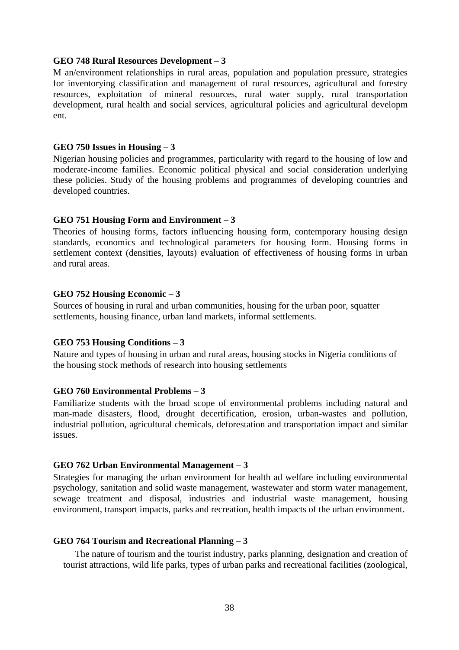## **GEO 748 Rural Resources Development – 3**

M an/environment relationships in rural areas, population and population pressure, strategies for inventorying classification and management of rural resources, agricultural and forestry resources, exploitation of mineral resources, rural water supply, rural transportation development, rural health and social services, agricultural policies and agricultural developm ent.

### **GEO 750 Issues in Housing – 3**

Nigerian housing policies and programmes, particularity with regard to the housing of low and moderate-income families. Economic political physical and social consideration underlying these policies. Study of the housing problems and programmes of developing countries and developed countries.

## **GEO 751 Housing Form and Environment – 3**

Theories of housing forms, factors influencing housing form, contemporary housing design standards, economics and technological parameters for housing form. Housing forms in settlement context (densities, layouts) evaluation of effectiveness of housing forms in urban and rural areas.

## **GEO 752 Housing Economic – 3**

Sources of housing in rural and urban communities, housing for the urban poor, squatter settlements, housing finance, urban land markets, informal settlements.

## **GEO 753 Housing Conditions – 3**

Nature and types of housing in urban and rural areas, housing stocks in Nigeria conditions of the housing stock methods of research into housing settlements

## **GEO 760 Environmental Problems – 3**

Familiarize students with the broad scope of environmental problems including natural and man-made disasters, flood, drought decertification, erosion, urban-wastes and pollution, industrial pollution, agricultural chemicals, deforestation and transportation impact and similar issues.

## **GEO 762 Urban Environmental Management – 3**

Strategies for managing the urban environment for health ad welfare including environmental psychology, sanitation and solid waste management, wastewater and storm water management, sewage treatment and disposal, industries and industrial waste management, housing environment, transport impacts, parks and recreation, health impacts of the urban environment.

## **GEO 764 Tourism and Recreational Planning – 3**

The nature of tourism and the tourist industry, parks planning, designation and creation of tourist attractions, wild life parks, types of urban parks and recreational facilities (zoological,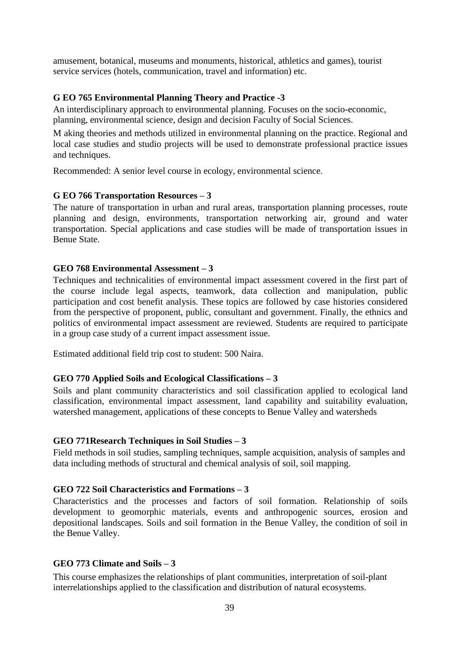amusement, botanical, museums and monuments, historical, athletics and games), tourist service services (hotels, communication, travel and information) etc.

## **G EO 765 Environmental Planning Theory and Practice -3**

An interdisciplinary approach to environmental planning. Focuses on the socio-economic, planning, environmental science, design and decision Faculty of Social Sciences.

M aking theories and methods utilized in environmental planning on the practice. Regional and local case studies and studio projects will be used to demonstrate professional practice issues and techniques.

Recommended: A senior level course in ecology, environmental science.

## **G EO 766 Transportation Resources – 3**

The nature of transportation in urban and rural areas, transportation planning processes, route planning and design, environments, transportation networking air, ground and water transportation. Special applications and case studies will be made of transportation issues in Benue State.

## **GEO 768 Environmental Assessment – 3**

Techniques and technicalities of environmental impact assessment covered in the first part of the course include legal aspects, teamwork, data collection and manipulation, public participation and cost benefit analysis. These topics are followed by case histories considered from the perspective of proponent, public, consultant and government. Finally, the ethnics and politics of environmental impact assessment are reviewed. Students are required to participate in a group case study of a current impact assessment issue.

Estimated additional field trip cost to student: 500 Naira.

## **GEO 770 Applied Soils and Ecological Classifications – 3**

Soils and plant community characteristics and soil classification applied to ecological land classification, environmental impact assessment, land capability and suitability evaluation, watershed management, applications of these concepts to Benue Valley and watersheds

## **GEO 771Research Techniques in Soil Studies – 3**

Field methods in soil studies, sampling techniques, sample acquisition, analysis of samples and data including methods of structural and chemical analysis of soil, soil mapping.

## **GEO 722 Soil Characteristics and Formations – 3**

Characteristics and the processes and factors of soil formation. Relationship of soils development to geomorphic materials, events and anthropogenic sources, erosion and depositional landscapes. Soils and soil formation in the Benue Valley, the condition of soil in the Benue Valley.

## **GEO 773 Climate and Soils – 3**

This course emphasizes the relationships of plant communities, interpretation of soil-plant interrelationships applied to the classification and distribution of natural ecosystems.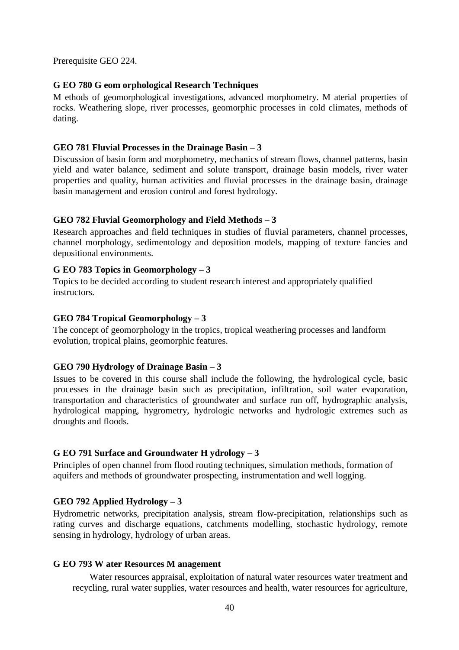Prerequisite GEO 224.

## **G EO 780 G eom orphological Research Techniques**

M ethods of geomorphological investigations, advanced morphometry. M aterial properties of rocks. Weathering slope, river processes, geomorphic processes in cold climates, methods of dating.

## **GEO 781 Fluvial Processes in the Drainage Basin – 3**

Discussion of basin form and morphometry, mechanics of stream flows, channel patterns, basin yield and water balance, sediment and solute transport, drainage basin models, river water properties and quality, human activities and fluvial processes in the drainage basin, drainage basin management and erosion control and forest hydrology.

## **GEO 782 Fluvial Geomorphology and Field Methods – 3**

Research approaches and field techniques in studies of fluvial parameters, channel processes, channel morphology, sedimentology and deposition models, mapping of texture fancies and depositional environments.

## **G EO 783 Topics in Geomorphology – 3**

Topics to be decided according to student research interest and appropriately qualified instructors.

## **GEO 784 Tropical Geomorphology – 3**

The concept of geomorphology in the tropics, tropical weathering processes and landform evolution, tropical plains, geomorphic features.

## **GEO 790 Hydrology of Drainage Basin – 3**

Issues to be covered in this course shall include the following, the hydrological cycle, basic processes in the drainage basin such as precipitation, infiltration, soil water evaporation, transportation and characteristics of groundwater and surface run off, hydrographic analysis, hydrological mapping, hygrometry, hydrologic networks and hydrologic extremes such as droughts and floods.

## **G EO 791 Surface and Groundwater H ydrology – 3**

Principles of open channel from flood routing techniques, simulation methods, formation of aquifers and methods of groundwater prospecting, instrumentation and well logging.

## **GEO 792 Applied Hydrology – 3**

Hydrometric networks, precipitation analysis, stream flow-precipitation, relationships such as rating curves and discharge equations, catchments modelling, stochastic hydrology, remote sensing in hydrology, hydrology of urban areas.

## **G EO 793 W ater Resources M anagement**

Water resources appraisal, exploitation of natural water resources water treatment and recycling, rural water supplies, water resources and health, water resources for agriculture,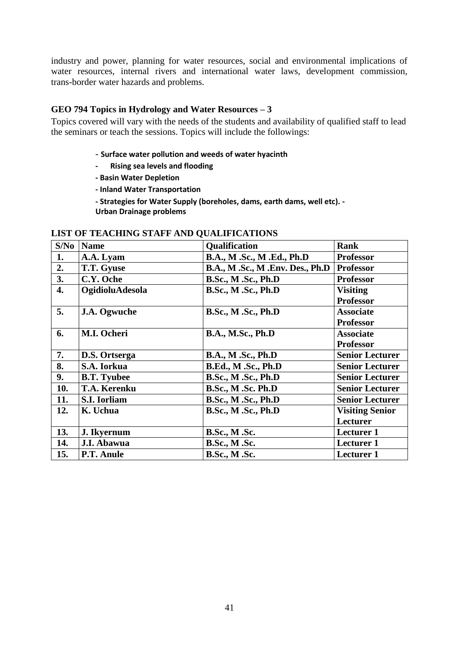industry and power, planning for water resources, social and environmental implications of water resources, internal rivers and international water laws, development commission, trans-border water hazards and problems.

## **GEO 794 Topics in Hydrology and Water Resources – 3**

Topics covered will vary with the needs of the students and availability of qualified staff to lead the seminars or teach the sessions. Topics will include the followings:

- **Surface water pollution and weeds of water hyacinth**
- **- Rising sea levels and flooding**
- **- Basin Water Depletion**
- **- Inland Water Transportation**

**- Strategies for Water Supply (boreholes, dams, earth dams, well etc). - Urban Drainage problems**

| S/No | <b>Name</b>         | <b>Qualification</b>             | <b>Rank</b>            |
|------|---------------------|----------------------------------|------------------------|
| 1.   | A.A. Lyam           | B.A., M .Sc., M .Ed., Ph.D       | <b>Professor</b>       |
| 2.   | T.T. Gyuse          | B.A., M .Sc., M .Env. Des., Ph.D | <b>Professor</b>       |
| 3.   | C.Y. Oche           | <b>B.Sc., M .Sc., Ph.D</b>       | <b>Professor</b>       |
| 4.   | OgidioluAdesola     | <b>B.Sc., M .Sc., Ph.D</b>       | <b>Visiting</b>        |
|      |                     |                                  | <b>Professor</b>       |
| 5.   | J.A. Ogwuche        | <b>B.Sc., M .Sc., Ph.D</b>       | <b>Associate</b>       |
|      |                     |                                  | <b>Professor</b>       |
| 6.   | M.I. Ocheri         | <b>B.A., M.Sc., Ph.D</b>         | <b>Associate</b>       |
|      |                     |                                  | <b>Professor</b>       |
| 7.   | D.S. Ortserga       | <b>B.A., M .Sc., Ph.D</b>        | <b>Senior Lecturer</b> |
| 8.   | S.A. Iorkua         | <b>B.Ed., M .Sc., Ph.D</b>       | <b>Senior Lecturer</b> |
| 9.   | <b>B.T. Tyubee</b>  | <b>B.Sc., M .Sc., Ph.D</b>       | <b>Senior Lecturer</b> |
| 10.  | T.A. Kerenku        | <b>B.Sc., M .Sc. Ph.D</b>        | <b>Senior Lecturer</b> |
| 11.  | <b>S.I.</b> Iorliam | <b>B.Sc., M .Sc., Ph.D</b>       | <b>Senior Lecturer</b> |
| 12.  | K. Uchua            | <b>B.Sc., M .Sc., Ph.D</b>       | <b>Visiting Senior</b> |
|      |                     |                                  | Lecturer               |
| 13.  | J. Ikyernum         | <b>B.Sc., M.Sc.</b>              | <b>Lecturer 1</b>      |
| 14.  | J.I. Abawua         | <b>B.Sc., M.Sc.</b>              | <b>Lecturer 1</b>      |
| 15.  | P.T. Anule          | <b>B.Sc., M.Sc.</b>              | <b>Lecturer 1</b>      |

### **LIST OF TEACHING STAFF AND QUALIFICATIONS**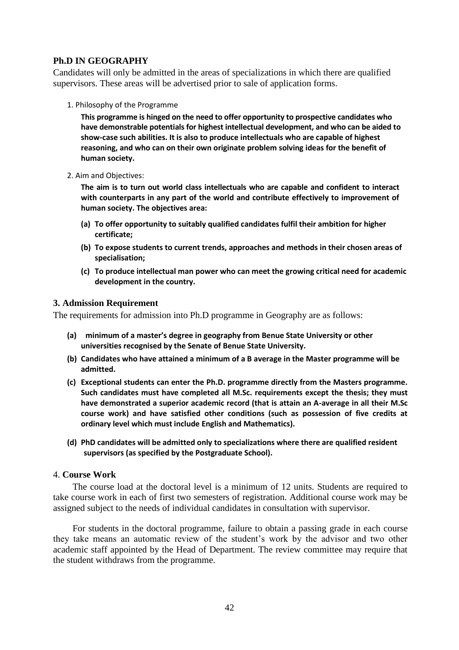## **Ph.D IN GEOGRAPHY**

Candidates will only be admitted in the areas of specializations in which there are qualified supervisors. These areas will be advertised prior to sale of application forms.

1. Philosophy of the Programme

**This programme is hinged on the need to offer opportunity to prospective candidates who have demonstrable potentials for highest intellectual development, and who can be aided to show-case such abilities. It is also to produce intellectuals who are capable of highest reasoning, and who can on their own originate problem solving ideas for the benefit of human society.**

2. Aim and Objectives:

**The aim is to turn out world class intellectuals who are capable and confident to interact with counterparts in any part of the world and contribute effectively to improvement of human society. The objectives area:**

- **(a) To offer opportunity to suitably qualified candidates fulfil their ambition for higher certificate;**
- **(b) To expose students to current trends, approaches and methods in their chosen areas of specialisation;**
- **(c) To produce intellectual man power who can meet the growing critical need for academic development in the country.**

## **3. Admission Requirement**

The requirements for admission into Ph.D programme in Geography are as follows:

- **(a) minimum of a master's degree in geography from Benue State University or other universities recognised by the Senate of Benue State University.**
- **(b) Candidates who have attained a minimum of a B average in the Master programme will be admitted.**
- **(c) Exceptional students can enter the Ph.D. programme directly from the Masters programme. Such candidates must have completed all M.Sc. requirements except the thesis; they must have demonstrated a superior academic record (that is attain an A-average in all their M.Sc course work) and have satisfied other conditions (such as possession of five credits at ordinary level which must include English and Mathematics).**
- **(d) PhD candidates will be admitted only to specializations where there are qualified resident supervisors (as specified by the Postgraduate School).**

## 4. **Course Work**

The course load at the doctoral level is a minimum of 12 units. Students are required to take course work in each of first two semesters of registration. Additional course work may be assigned subject to the needs of individual candidates in consultation with supervisor.

For students in the doctoral programme, failure to obtain a passing grade in each course they take means an automatic review of the student's work by the advisor and two other academic staff appointed by the Head of Department. The review committee may require that the student withdraws from the programme.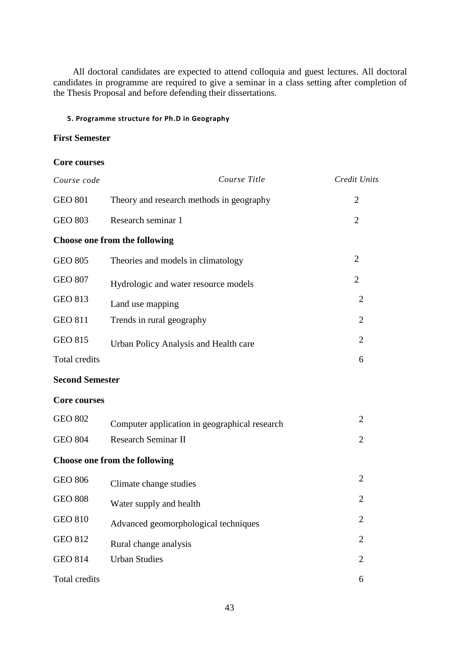All doctoral candidates are expected to attend colloquia and guest lectures. All doctoral candidates in programme are required to give a seminar in a class setting after completion of the Thesis Proposal and before defending their dissertations.

## **5. Programme structure for Ph.D in Geography**

### **First Semester**

### **Core courses**

| Course code            | Course Title                                  | Credit Units   |
|------------------------|-----------------------------------------------|----------------|
| <b>GEO 801</b>         | Theory and research methods in geography      | $\overline{2}$ |
| <b>GEO 803</b>         | Research seminar 1                            | $\overline{2}$ |
|                        | <b>Choose one from the following</b>          |                |
| <b>GEO 805</b>         | Theories and models in climatology            | $\overline{2}$ |
| <b>GEO 807</b>         | Hydrologic and water resource models          | $\overline{2}$ |
| GEO 813                | Land use mapping                              | 2              |
| <b>GEO 811</b>         | Trends in rural geography                     | $\overline{2}$ |
| <b>GEO 815</b>         | Urban Policy Analysis and Health care         | $\overline{2}$ |
| Total credits          |                                               | 6              |
| <b>Second Semester</b> |                                               |                |
| <b>Core courses</b>    |                                               |                |
| <b>GEO 802</b>         | Computer application in geographical research | 2              |
| <b>GEO 804</b>         | <b>Research Seminar II</b>                    | $\overline{2}$ |
|                        | <b>Choose one from the following</b>          |                |
| <b>GEO 806</b>         | Climate change studies                        | $\overline{2}$ |
| <b>GEO 808</b>         | Water supply and health                       | $\overline{2}$ |
| <b>GEO 810</b>         | Advanced geomorphological techniques          | $\overline{c}$ |
| <b>GEO 812</b>         | Rural change analysis                         | $\overline{2}$ |
| <b>GEO 814</b>         | <b>Urban Studies</b>                          | 2              |
| Total credits          |                                               | 6              |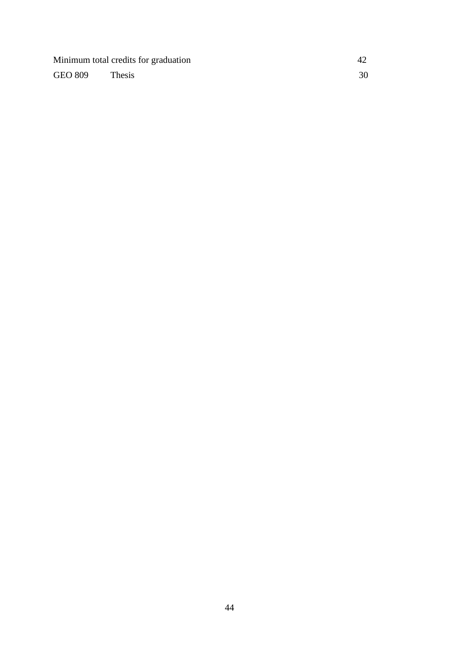Minimum total credits for graduation 42 GEO 809 Thesis 30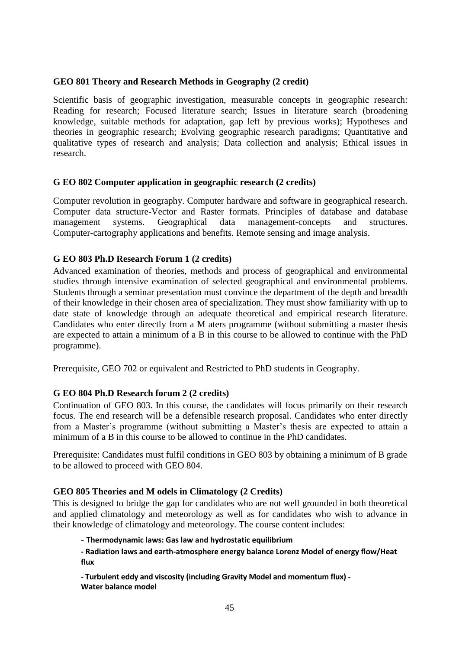## **GEO 801 Theory and Research Methods in Geography (2 credit)**

Scientific basis of geographic investigation, measurable concepts in geographic research: Reading for research; Focused literature search; Issues in literature search (broadening knowledge, suitable methods for adaptation, gap left by previous works); Hypotheses and theories in geographic research; Evolving geographic research paradigms; Quantitative and qualitative types of research and analysis; Data collection and analysis; Ethical issues in research.

## **G EO 802 Computer application in geographic research (2 credits)**

Computer revolution in geography. Computer hardware and software in geographical research. Computer data structure-Vector and Raster formats. Principles of database and database management systems. Geographical data management-concepts and structures. Computer-cartography applications and benefits. Remote sensing and image analysis.

## **G EO 803 Ph.D Research Forum 1 (2 credits)**

Advanced examination of theories, methods and process of geographical and environmental studies through intensive examination of selected geographical and environmental problems. Students through a seminar presentation must convince the department of the depth and breadth of their knowledge in their chosen area of specialization. They must show familiarity with up to date state of knowledge through an adequate theoretical and empirical research literature. Candidates who enter directly from a M aters programme (without submitting a master thesis are expected to attain a minimum of a B in this course to be allowed to continue with the PhD programme).

Prerequisite, GEO 702 or equivalent and Restricted to PhD students in Geography.

## **G EO 804 Ph.D Research forum 2 (2 credits)**

Continuation of GEO 803. In this course, the candidates will focus primarily on their research focus. The end research will be a defensible research proposal. Candidates who enter directly from a Master's programme (without submitting a Master's thesis are expected to attain a minimum of a B in this course to be allowed to continue in the PhD candidates.

Prerequisite: Candidates must fulfil conditions in GEO 803 by obtaining a minimum of B grade to be allowed to proceed with GEO 804.

## **GEO 805 Theories and M odels in Climatology (2 Credits)**

This is designed to bridge the gap for candidates who are not well grounded in both theoretical and applied climatology and meteorology as well as for candidates who wish to advance in their knowledge of climatology and meteorology. The course content includes:

- **Thermodynamic laws: Gas law and hydrostatic equilibrium**

**- Radiation laws and earth-atmosphere energy balance Lorenz Model of energy flow/Heat flux**

**- Turbulent eddy and viscosity (including Gravity Model and momentum flux) - Water balance model**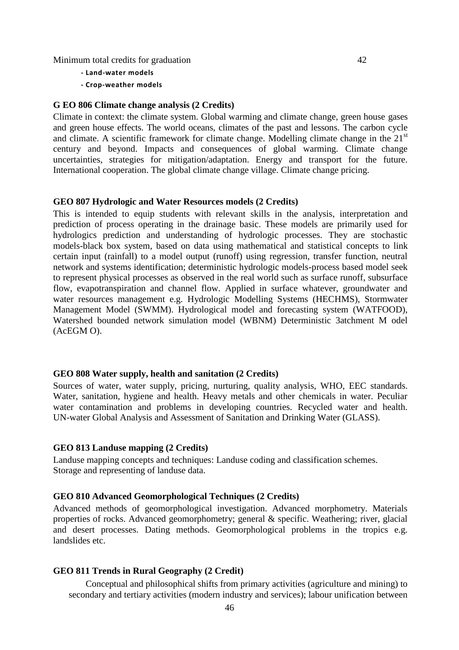Minimum total credits for graduation 42

- **- Land-water models**
- **- Crop-weather models**

### **G EO 806 Climate change analysis (2 Credits)**

Climate in context: the climate system. Global warming and climate change, green house gases and green house effects. The world oceans, climates of the past and lessons. The carbon cycle and climate. A scientific framework for climate change. Modelling climate change in the  $21<sup>st</sup>$ century and beyond. Impacts and consequences of global warming. Climate change uncertainties, strategies for mitigation/adaptation. Energy and transport for the future. International cooperation. The global climate change village. Climate change pricing.

### **GEO 807 Hydrologic and Water Resources models (2 Credits)**

This is intended to equip students with relevant skills in the analysis, interpretation and prediction of process operating in the drainage basic. These models are primarily used for hydrologics prediction and understanding of hydrologic processes. They are stochastic models-black box system, based on data using mathematical and statistical concepts to link certain input (rainfall) to a model output (runoff) using regression, transfer function, neutral network and systems identification; deterministic hydrologic models-process based model seek to represent physical processes as observed in the real world such as surface runoff, subsurface flow, evapotranspiration and channel flow. Applied in surface whatever, groundwater and water resources management e.g. Hydrologic Modelling Systems (HECHMS), Stormwater Management Model (SWMM). Hydrological model and forecasting system (WATFOOD), Watershed bounded network simulation model (WBNM) Deterministic 3atchment M odel (AcEGM O).

### **GEO 808 Water supply, health and sanitation (2 Credits)**

Sources of water, water supply, pricing, nurturing, quality analysis, WHO, EEC standards. Water, sanitation, hygiene and health. Heavy metals and other chemicals in water. Peculiar water contamination and problems in developing countries. Recycled water and health. UN-water Global Analysis and Assessment of Sanitation and Drinking Water (GLASS).

## **GEO 813 Landuse mapping (2 Credits)**

Landuse mapping concepts and techniques: Landuse coding and classification schemes. Storage and representing of landuse data.

### **GEO 810 Advanced Geomorphological Techniques (2 Credits)**

Advanced methods of geomorphological investigation. Advanced morphometry. Materials properties of rocks. Advanced geomorphometry; general & specific. Weathering; river, glacial and desert processes. Dating methods. Geomorphological problems in the tropics e.g. landslides etc.

## **GEO 811 Trends in Rural Geography (2 Credit)**

Conceptual and philosophical shifts from primary activities (agriculture and mining) to secondary and tertiary activities (modern industry and services); labour unification between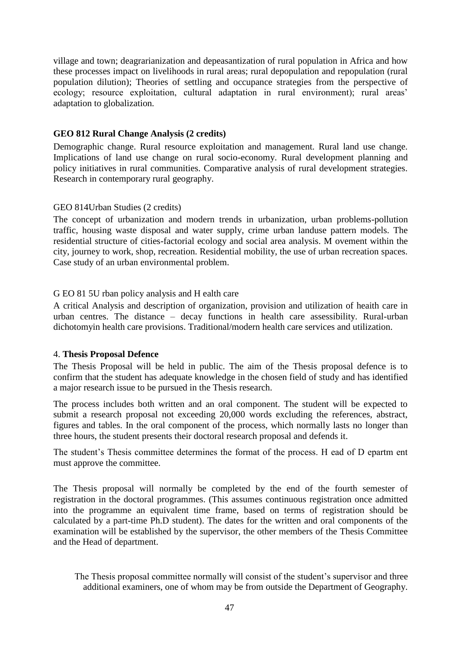village and town; deagrarianization and depeasantization of rural population in Africa and how these processes impact on livelihoods in rural areas; rural depopulation and repopulation (rural population dilution); Theories of settling and occupance strategies from the perspective of ecology; resource exploitation, cultural adaptation in rural environment); rural areas' adaptation to globalization.

## **GEO 812 Rural Change Analysis (2 credits)**

Demographic change. Rural resource exploitation and management. Rural land use change. Implications of land use change on rural socio-economy. Rural development planning and policy initiatives in rural communities. Comparative analysis of rural development strategies. Research in contemporary rural geography.

## GEO 814Urban Studies (2 credits)

The concept of urbanization and modern trends in urbanization, urban problems-pollution traffic, housing waste disposal and water supply, crime urban landuse pattern models. The residential structure of cities-factorial ecology and social area analysis. M ovement within the city, journey to work, shop, recreation. Residential mobility, the use of urban recreation spaces. Case study of an urban environmental problem.

## G EO 81 5U rban policy analysis and H ealth care

A critical Analysis and description of organization, provision and utilization of heaith care in urban centres. The distance – decay functions in health care assessibility. Rural-urban dichotomyin health care provisions. Traditional/modern health care services and utilization.

## 4. **Thesis Proposal Defence**

The Thesis Proposal will be held in public. The aim of the Thesis proposal defence is to confirm that the student has adequate knowledge in the chosen field of study and has identified a major research issue to be pursued in the Thesis research.

The process includes both written and an oral component. The student will be expected to submit a research proposal not exceeding 20,000 words excluding the references, abstract, figures and tables. In the oral component of the process, which normally lasts no longer than three hours, the student presents their doctoral research proposal and defends it.

The student's Thesis committee determines the format of the process. H ead of D epartm ent must approve the committee.

The Thesis proposal will normally be completed by the end of the fourth semester of registration in the doctoral programmes. (This assumes continuous registration once admitted into the programme an equivalent time frame, based on terms of registration should be calculated by a part-time Ph.D student). The dates for the written and oral components of the examination will be established by the supervisor, the other members of the Thesis Committee and the Head of department.

The Thesis proposal committee normally will consist of the student's supervisor and three additional examiners, one of whom may be from outside the Department of Geography.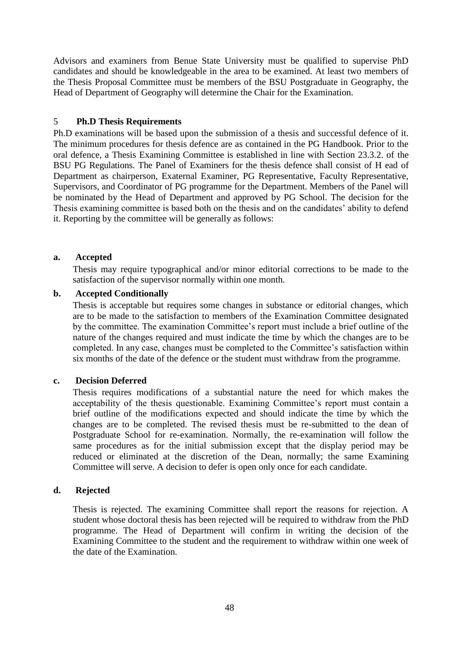Advisors and examiners from Benue State University must be qualified to supervise PhD candidates and should be knowledgeable in the area to be examined. At least two members of the Thesis Proposal Committee must be members of the BSU Postgraduate in Geography, the Head of Department of Geography will determine the Chair for the Examination.

## 5 **Ph.D Thesis Requirements**

Ph.D examinations will be based upon the submission of a thesis and successful defence of it. The minimum procedures for thesis defence are as contained in the PG Handbook. Prior to the oral defence, a Thesis Examining Committee is established in line with Section 23.3.2. of the BSU PG Regulations. The Panel of Examiners for the thesis defence shall consist of H ead of Department as chairperson, Exaternal Examiner, PG Representative, Faculty Representative, Supervisors, and Coordinator of PG programme for the Department. Members of the Panel will be nominated by the Head of Department and approved by PG School. The decision for the Thesis examining committee is based both on the thesis and on the candidates' ability to defend it. Reporting by the committee will be generally as follows:

## **a. Accepted**

Thesis may require typographical and/or minor editorial corrections to be made to the satisfaction of the supervisor normally within one month.

## **b. Accepted Conditionally**

Thesis is acceptable but requires some changes in substance or editorial changes, which are to be made to the satisfaction to members of the Examination Committee designated by the committee. The examination Committee's report must include a brief outline of the nature of the changes required and must indicate the time by which the changes are to be completed. In any case, changes must be completed to the Committee's satisfaction within six months of the date of the defence or the student must withdraw from the programme.

## **c. Decision Deferred**

Thesis requires modifications of a substantial nature the need for which makes the acceptability of the thesis questionable. Examining Committee's report must contain a brief outline of the modifications expected and should indicate the time by which the changes are to be completed. The revised thesis must be re-submitted to the dean of Postgraduate School for re-examination. Normally, the re-examination will follow the same procedures as for the initial submission except that the display period may be reduced or eliminated at the discretion of the Dean, normally; the same Examining Committee will serve. A decision to defer is open only once for each candidate.

## **d. Rejected**

Thesis is rejected. The examining Committee shall report the reasons for rejection. A student whose doctoral thesis has been rejected will be required to withdraw from the PhD programme. The Head of Department will confirm in writing the decision of the Examining Committee to the student and the requirement to withdraw within one week of the date of the Examination.